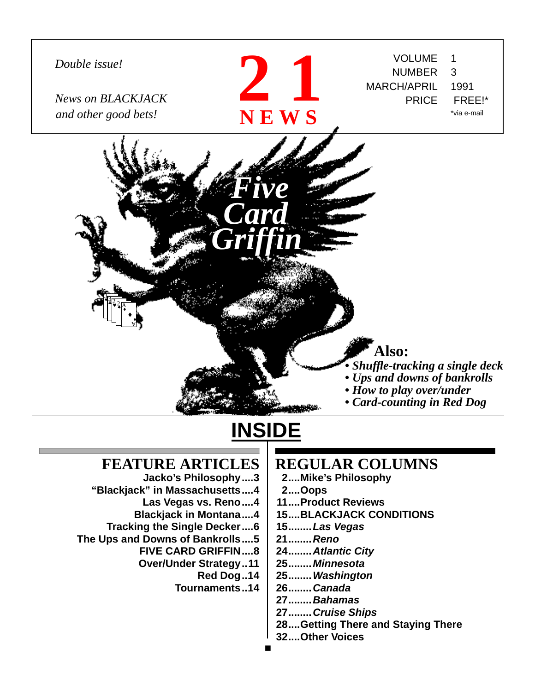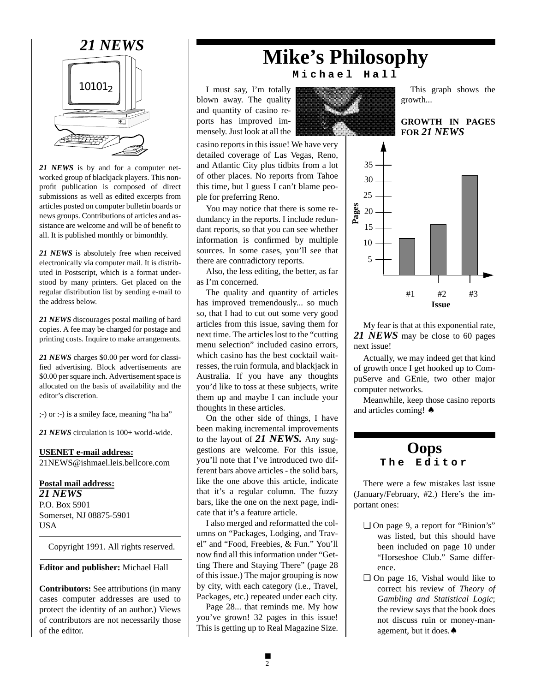![](_page_1_Picture_0.jpeg)

*21 NEWS* is by and for a computer networked group of blackjack players. This nonprofit publication is composed of direct submissions as well as edited excerpts from articles posted on computer bulletin boards or news groups. Contributions of articles and assistance are welcome and will be of benefit to all. It is published monthly or bimonthly.

*21 NEWS* is absolutely free when received electronically via computer mail. It is distributed in Postscript, which is a format understood by many printers. Get placed on the regular distribution list by sending e-mail to the address below.

*21 NEWS* discourages postal mailing of hard copies. A fee may be charged for postage and printing costs. Inquire to make arrangements.

*21 NEWS* charges \$0.00 per word for classified advertising. Block advertisements are \$0.00 per square inch. Advertisement space is allocated on the basis of availability and the editor's discretion.

;-) or :-) is a smiley face, meaning "ha ha"

*21 NEWS* circulation is 100+ world-wide.

**USENET e-mail address:** 21NEWS@ishmael.leis.bellcore.com

**Postal mail address:** *21 NEWS* P.O. Box 5901

Somerset, NJ 08875-5901 USA

Copyright 1991. All rights reserved.

**Editor and publisher:** Michael Hall

**Contributors:** See attributions (in many cases computer addresses are used to protect the identity of an author.) Views of contributors are not necessarily those of the editor.

# *21 NEWS* **Mike's Philosophy Michael Hall**

I must say, I'm totally blown away. The quality and quantity of casino reports has improved immensely. Just look at all the

casino reports in this issue! We have very detailed coverage of Las Vegas, Reno, and Atlantic City plus tidbits from a lot of other places. No reports from Tahoe this time, but I guess I can't blame people for preferring Reno.

You may notice that there is some redundancy in the reports. I include redundant reports, so that you can see whether information is confirmed by multiple sources. In some cases, you'll see that there are contradictory reports.

Also, the less editing, the better, as far as I'm concerned.

The quality and quantity of articles has improved tremendously... so much so, that I had to cut out some very good articles from this issue, saving them for next time. The articles lost to the "cutting menu selection" included casino errors, which casino has the best cocktail waitresses, the ruin formula, and blackjack in Australia. If you have any thoughts you'd like to toss at these subjects, write them up and maybe I can include your thoughts in these articles.

On the other side of things, I have been making incremental improvements to the layout of *21 NEWS.* Any suggestions are welcome. For this issue, you'll note that I've introduced two different bars above articles - the solid bars, like the one above this article, indicate that it's a regular column. The fuzzy bars, like the one on the next page, indicate that it's a feature article.

I also merged and reformatted the columns on "Packages, Lodging, and Travel" and "Food, Freebies, & Fun." You'll now find all this information under "Getting There and Staying There" (page 28 of this issue.) The major grouping is now by city, with each category (i.e., Travel, Packages, etc.) repeated under each city.

Page 28... that reminds me. My how you've grown! 32 pages in this issue! This is getting up to Real Magazine Size.

![](_page_1_Picture_22.jpeg)

This graph shows the growth...

## **GROWTH IN PAGES FOR** *21 NEWS*

![](_page_1_Figure_25.jpeg)

My fear is that at this exponential rate, *21 NEWS* may be close to 60 pages next issue!

Actually, we may indeed get that kind of growth once I get hooked up to CompuServe and GEnie, two other major computer networks.

Meanwhile, keep those casino reports and articles coming! ♠

## **Oops**<br>The Edi **The Editor**

There were a few mistakes last issue (January/February, #2.) Here's the important ones:

- ❏ On page 9, a report for "Binion's" was listed, but this should have been included on page 10 under "Horseshoe Club." Same difference.
- ❏ On page 16, Vishal would like to correct his review of *Theory of Gambling and Statistical Logic*; the review says that the book does not discuss ruin or money-management, but it does.♠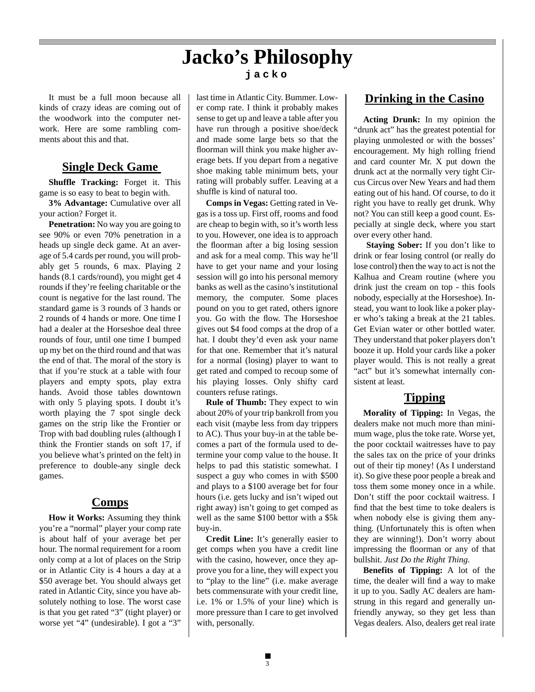# **Jacko's Philosophy**

It must be a full moon because all kinds of crazy ideas are coming out of the woodwork into the computer network. Here are some rambling comments about this and that.

## **Single Deck Game**

**Shuffle Tracking:** Forget it. This game is so easy to beat to begin with.

**3% Advantage:** Cumulative over all your action? Forget it.

**Penetration:** No way you are going to see 90% or even 70% penetration in a heads up single deck game. At an average of 5.4 cards per round, you will probably get 5 rounds, 6 max. Playing 2 hands (8.1 cards/round), you might get 4 rounds if they're feeling charitable or the count is negative for the last round. The standard game is 3 rounds of 3 hands or 2 rounds of 4 hands or more. One time I had a dealer at the Horseshoe deal three rounds of four, until one time I bumped up my bet on the third round and that was the end of that. The moral of the story is that if you're stuck at a table with four players and empty spots, play extra hands. Avoid those tables downtown with only 5 playing spots. I doubt it's worth playing the 7 spot single deck games on the strip like the Frontier or Trop with bad doubling rules (although I think the Frontier stands on soft 17, if you believe what's printed on the felt) in preference to double-any single deck games.

## **Comps**

**How it Works:** Assuming they think you're a "normal" player your comp rate is about half of your average bet per hour. The normal requirement for a room only comp at a lot of places on the Strip or in Atlantic City is 4 hours a day at a \$50 average bet. You should always get rated in Atlantic City, since you have absolutely nothing to lose. The worst case is that you get rated "3" (tight player) or worse yet "4" (undesirable). I got a "3"

## **jacko**

last time in Atlantic City. Bummer. Lower comp rate. I think it probably makes sense to get up and leave a table after you have run through a positive shoe/deck and made some large bets so that the floorman will think you make higher average bets. If you depart from a negative shoe making table minimum bets, your rating will probably suffer. Leaving at a shuffle is kind of natural too.

**Comps in Vegas:** Getting rated in Vegas is a toss up. First off, rooms and food are cheap to begin with, so it's worth less to you. However, one idea is to approach the floorman after a big losing session and ask for a meal comp. This way he'll have to get your name and your losing session will go into his personal memory banks as well as the casino's institutional memory, the computer. Some places pound on you to get rated, others ignore you. Go with the flow. The Horseshoe gives out \$4 food comps at the drop of a hat. I doubt they'd even ask your name for that one. Remember that it's natural for a normal (losing) player to want to get rated and comped to recoup some of his playing losses. Only shifty card counters refuse ratings.

**Rule of Thumb:** They expect to win about 20% of your trip bankroll from you each visit (maybe less from day trippers to AC). Thus your buy-in at the table becomes a part of the formula used to determine your comp value to the house. It helps to pad this statistic somewhat. I suspect a guy who comes in with \$500 and plays to a \$100 average bet for four hours (i.e. gets lucky and isn't wiped out right away) isn't going to get comped as well as the same \$100 bettor with a \$5k buy-in.

**Credit Line:** It's generally easier to get comps when you have a credit line with the casino, however, once they approve you for a line, they will expect you to "play to the line" (i.e. make average bets commensurate with your credit line, i.e. 1% or 1.5% of your line) which is more pressure than I care to get involved with, personally.

## **Drinking in the Casino**

**Acting Drunk:** In my opinion the "drunk act" has the greatest potential for playing unmolested or with the bosses' encouragement. My high rolling friend and card counter Mr. X put down the drunk act at the normally very tight Circus Circus over New Years and had them eating out of his hand. Of course, to do it right you have to really get drunk. Why not? You can still keep a good count. Especially at single deck, where you start over every other hand.

 **Staying Sober:** If you don't like to drink or fear losing control (or really do lose control) then the way to act is not the Kalhua and Cream routine (where you drink just the cream on top - this fools nobody, especially at the Horseshoe). Instead, you want to look like a poker player who's taking a break at the 21 tables. Get Evian water or other bottled water. They understand that poker players don't booze it up. Hold your cards like a poker player would. This is not really a great "act" but it's somewhat internally consistent at least.

## **Tipping**

**Morality of Tipping:** In Vegas, the dealers make not much more than minimum wage, plus the toke rate. Worse yet, the poor cocktail waitresses have to pay the sales tax on the price of your drinks out of their tip money! (As I understand it). So give these poor people a break and toss them some money once in a while. Don't stiff the poor cocktail waitress. I find that the best time to toke dealers is when nobody else is giving them anything. (Unfortunately this is often when they are winning!). Don't worry about impressing the floorman or any of that bullshit. *Just Do the Right Thing*.

**Benefits of Tipping:** A lot of the time, the dealer will find a way to make it up to you. Sadly AC dealers are hamstrung in this regard and generally unfriendly anyway, so they get less than Vegas dealers. Also, dealers get real irate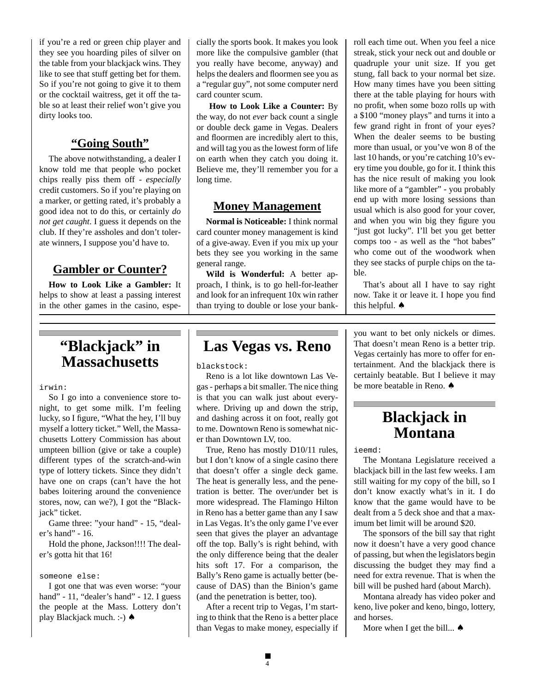if you're a red or green chip player and they see you hoarding piles of silver on the table from your blackjack wins. They like to see that stuff getting bet for them. So if you're not going to give it to them or the cocktail waitress, get it off the table so at least their relief won't give you dirty looks too.

## **"Going South"**

The above notwithstanding, a dealer I know told me that people who pocket chips really piss them off - *especially* credit customers. So if you're playing on a marker, or getting rated, it's probably a good idea not to do this, or certainly *do not get caught*. I guess it depends on the club. If they're assholes and don't tolerate winners, I suppose you'd have to.

## **Gambler or Counter?**

**How to Look Like a Gambler:** It helps to show at least a passing interest in the other games in the casino, especially the sports book. It makes you look more like the compulsive gambler (that you really have become, anyway) and helps the dealers and floormen see you as a "regular guy", not some computer nerd card counter scum.

**How to Look Like a Counter:** By the way, do not *ever* back count a single or double deck game in Vegas. Dealers and floormen are incredibly alert to this, and will tag you as the lowest form of life on earth when they catch you doing it. Believe me, they'll remember you for a long time.

## **Money Management**

**Normal is Noticeable:** I think normal card counter money management is kind of a give-away. Even if you mix up your bets they see you working in the same general range.

**Wild is Wonderful:** A better approach, I think, is to go hell-for-leather and look for an infrequent 10x win rather than trying to double or lose your bankroll each time out. When you feel a nice streak, stick your neck out and double or quadruple your unit size. If you get stung, fall back to your normal bet size. How many times have you been sitting there at the table playing for hours with no profit, when some bozo rolls up with a \$100 "money plays" and turns it into a few grand right in front of your eyes? When the dealer seems to be busting more than usual, or you've won 8 of the last 10 hands, or you're catching 10's every time you double, go for it. I think this has the nice result of making you look like more of a "gambler" - you probably end up with more losing sessions than usual which is also good for your cover, and when you win big they figure you "just got lucky". I'll bet you get better comps too - as well as the "hot babes" who come out of the woodwork when they see stacks of purple chips on the table.

That's about all I have to say right now. Take it or leave it. I hope you find this helpful. ♠

# **"Blackjack" in Massachusetts**

#### irwin:

So I go into a convenience store tonight, to get some milk. I'm feeling lucky, so I figure, "What the hey, I'll buy myself a lottery ticket." Well, the Massachusetts Lottery Commission has about umpteen billion (give or take a couple) different types of the scratch-and-win type of lottery tickets. Since they didn't have one on craps (can't have the hot babes loitering around the convenience stores, now, can we?), I got the "Blackjack" ticket.

Game three: "your hand" - 15, "dealer's hand" - 16.

Hold the phone, Jackson!!!! The dealer's gotta hit that 16!

#### someone else:

I got one that was even worse: "your hand" - 11, "dealer's hand" - 12. I guess the people at the Mass. Lottery don't play Blackjack much. :-) ♠

# **Las Vegas vs. Reno**

blackstock:

Reno is a lot like downtown Las Vegas - perhaps a bit smaller. The nice thing is that you can walk just about everywhere. Driving up and down the strip, and dashing across it on foot, really got to me. Downtown Reno is somewhat nicer than Downtown LV, too.

True, Reno has mostly D10/11 rules, but I don't know of a single casino there that doesn't offer a single deck game. The heat is generally less, and the penetration is better. The over/under bet is more widespread. The Flamingo Hilton in Reno has a better game than any I saw in Las Vegas. It's the only game I've ever seen that gives the player an advantage off the top. Bally's is right behind, with the only difference being that the dealer hits soft 17. For a comparison, the Bally's Reno game is actually better (because of DAS) than the Binion's game (and the penetration is better, too).

After a recent trip to Vegas, I'm starting to think that the Reno is a better place than Vegas to make money, especially if

you want to bet only nickels or dimes. That doesn't mean Reno is a better trip. Vegas certainly has more to offer for entertainment. And the blackjack there is certainly beatable. But I believe it may be more beatable in Reno. ♠

# **Blackjack in Montana**

ieemd:

The Montana Legislature received a blackjack bill in the last few weeks. I am still waiting for my copy of the bill, so I don't know exactly what's in it. I do know that the game would have to be dealt from a 5 deck shoe and that a maximum bet limit will be around \$20.

The sponsors of the bill say that right now it doesn't have a very good chance of passing, but when the legislators begin discussing the budget they may find a need for extra revenue. That is when the bill will be pushed hard (about March).

Montana already has video poker and keno, live poker and keno, bingo, lottery, and horses.

More when I get the bill...  $\triangle$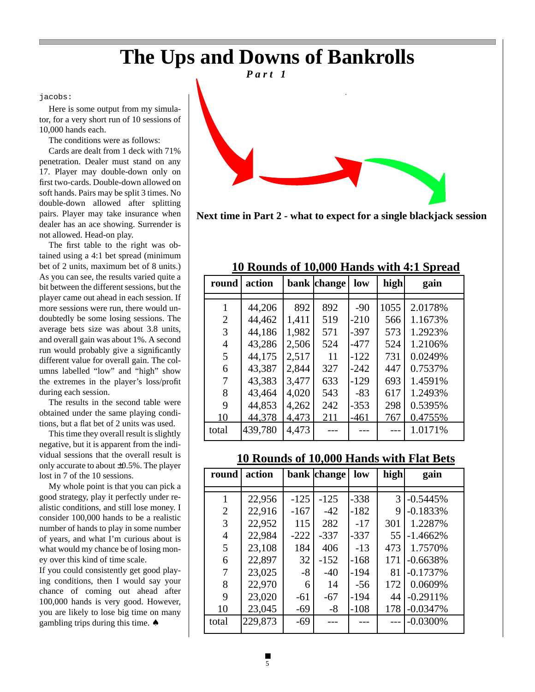# **The Ups and Downs of Bankrolls**

jacobs:

Here is some output from my simulator, for a very short run of 10 sessions of 10,000 hands each.

The conditions were as follows:

Cards are dealt from 1 deck with 71% penetration. Dealer must stand on any 17. Player may double-down only on first two-cards. Double-down allowed on soft hands. Pairs may be split 3 times. No double-down allowed after splitting pairs. Player may take insurance when dealer has an ace showing. Surrender is not allowed. Head-on play.

The first table to the right was obtained using a 4:1 bet spread (minimum bet of 2 units, maximum bet of 8 units.) As you can see, the results varied quite a bit between the different sessions, but the player came out ahead in each session. If more sessions were run, there would undoubtedly be some losing sessions. The average bets size was about 3.8 units, and overall gain was about 1%. A second run would probably give a significantly different value for overall gain. The columns labelled "low" and "high" show the extremes in the player's loss/profit during each session.

The results in the second table were obtained under the same playing conditions, but a flat bet of 2 units was used.

This time they overall result is slightly negative, but it is apparent from the individual sessions that the overall result is only accurate to about ±0.5%. The player lost in 7 of the 10 sessions.

My whole point is that you can pick a good strategy, play it perfectly under realistic conditions, and still lose money. I consider 100,000 hands to be a realistic number of hands to play in some number of years, and what I'm curious about is what would my chance be of losing money over this kind of time scale.

If you could consistently get good playing conditions, then I would say your chance of coming out ahead after 100,000 hands is very good. However, you are likely to lose big time on many gambling trips during this time. ♠

![](_page_4_Figure_10.jpeg)

**Next time in Part 2 - what to expect for a single blackjack session**

## **10 Rounds of 10,000 Hands with 4:1 Spread**

| round          | action  |       | bank change | low    | high | gain    |
|----------------|---------|-------|-------------|--------|------|---------|
|                |         |       |             |        |      |         |
|                | 44,206  | 892   | 892         | $-90$  | 1055 | 2.0178% |
| $\overline{2}$ | 44,462  | 1,411 | 519         | $-210$ | 566  | 1.1673% |
| 3              | 44,186  | 1,982 | 571         | $-397$ | 573  | 1.2923% |
| 4              | 43,286  | 2,506 | 524         | $-477$ | 524  | 1.2106% |
| 5              | 44,175  | 2,517 | 11          | $-122$ | 731  | 0.0249% |
| 6              | 43,387  | 2,844 | 327         | $-242$ | 447  | 0.7537% |
|                | 43,383  | 3,477 | 633         | $-129$ | 693  | 1.4591% |
| 8              | 43,464  | 4,020 | 543         | $-83$  | 617  | 1.2493% |
| 9              | 44,853  | 4,262 | 242         | $-353$ | 298  | 0.5395% |
| 10             | 44,378  | 4,473 | 211         | $-461$ | 767  | 0.4755% |
| total          | 439,780 | 4,473 |             |        |      | 1.0171% |

## **10 Rounds of 10,000 Hands with Flat Bets**

| round          | action  |        | bank change | low    | high | gain        |
|----------------|---------|--------|-------------|--------|------|-------------|
|                |         |        |             |        |      |             |
|                | 22,956  | $-125$ | $-125$      | $-338$ | 3    | $-0.5445%$  |
| $\overline{2}$ | 22,916  | $-167$ | $-42$       | $-182$ | 9    | $-0.1833%$  |
| 3              | 22,952  | 115    | 282         | $-17$  | 301  | 1.2287%     |
| $\overline{4}$ | 22,984  | $-222$ | $-337$      | $-337$ | 55   | $-1.4662%$  |
| 5              | 23,108  | 184    | 406         | $-13$  | 473  | 1.7570%     |
| 6              | 22,897  | 32     | $-152$      | $-168$ | 171  | $-0.6638%$  |
| 7              | 23,025  | $-8$   | $-40$       | $-194$ | 81   | $-0.1737%$  |
| 8              | 22,970  | 6      | 14          | $-56$  | 172  | 0.0609%     |
| 9              | 23,020  | $-61$  | $-67$       | $-194$ | 44   | $-0.2911%$  |
| 10             | 23,045  | $-69$  | $-8$        | $-108$ | 178  | $-0.0347%$  |
| total          | 229,873 | $-69$  |             |        |      | $-0.0300\%$ |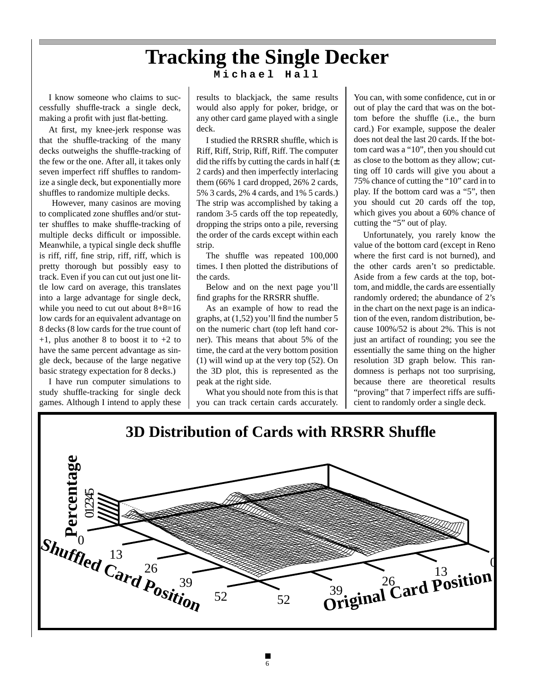# **Tracking the Single Decker Michael Hall**

I know someone who claims to successfully shuffle-track a single deck, making a profit with just flat-betting.

At first, my knee-jerk response was that the shuffle-tracking of the many decks outweighs the shuffle-tracking of the few or the one. After all, it takes only seven imperfect riff shuffles to randomize a single deck, but exponentially more shuffles to randomize multiple decks.

 However, many casinos are moving to complicated zone shuffles and/or stutter shuffles to make shuffle-tracking of multiple decks difficult or impossible. Meanwhile, a typical single deck shuffle is riff, riff, fine strip, riff, riff, which is pretty thorough but possibly easy to track. Even if you can cut out just one little low card on average, this translates into a large advantage for single deck, while you need to cut out about 8+8=16 low cards for an equivalent advantage on 8 decks (8 low cards for the true count of  $+1$ , plus another 8 to boost it to  $+2$  to have the same percent advantage as single deck, because of the large negative basic strategy expectation for 8 decks.)

I have run computer simulations to study shuffle-tracking for single deck games. Although I intend to apply these results to blackjack, the same results would also apply for poker, bridge, or any other card game played with a single deck.

I studied the RRSRR shuffle, which is Riff, Riff, Strip, Riff, Riff. The computer did the riffs by cutting the cards in half  $(\pm)$ 2 cards) and then imperfectly interlacing them (66% 1 card dropped, 26% 2 cards, 5% 3 cards, 2% 4 cards, and 1% 5 cards.) The strip was accomplished by taking a random 3-5 cards off the top repeatedly, dropping the strips onto a pile, reversing the order of the cards except within each strip.

The shuffle was repeated 100,000 times. I then plotted the distributions of the cards.

Below and on the next page you'll find graphs for the RRSRR shuffle.

As an example of how to read the graphs, at (1,52) you'll find the number 5 on the numeric chart (top left hand corner). This means that about 5% of the time, the card at the very bottom position (1) will wind up at the very top (52). On the 3D plot, this is represented as the peak at the right side.

What you should note from this is that you can track certain cards accurately.

You can, with some confidence, cut in or out of play the card that was on the bottom before the shuffle (i.e., the burn card.) For example, suppose the dealer does not deal the last 20 cards. If the bottom card was a "10", then you should cut as close to the bottom as they allow; cutting off 10 cards will give you about a 75% chance of cutting the "10" card in to play. If the bottom card was a "5", then you should cut 20 cards off the top, which gives you about a 60% chance of cutting the "5" out of play.

Unfortunately, you rarely know the value of the bottom card (except in Reno where the first card is not burned), and the other cards aren't so predictable. Aside from a few cards at the top, bottom, and middle, the cards are essentially randomly ordered; the abundance of 2's in the chart on the next page is an indication of the even, random distribution, because 100%/52 is about 2%. This is not just an artifact of rounding; you see the essentially the same thing on the higher resolution 3D graph below. This randomness is perhaps not too surprising, because there are theoretical results "proving" that 7 imperfect riffs are sufficient to randomly order a single deck.

![](_page_5_Figure_13.jpeg)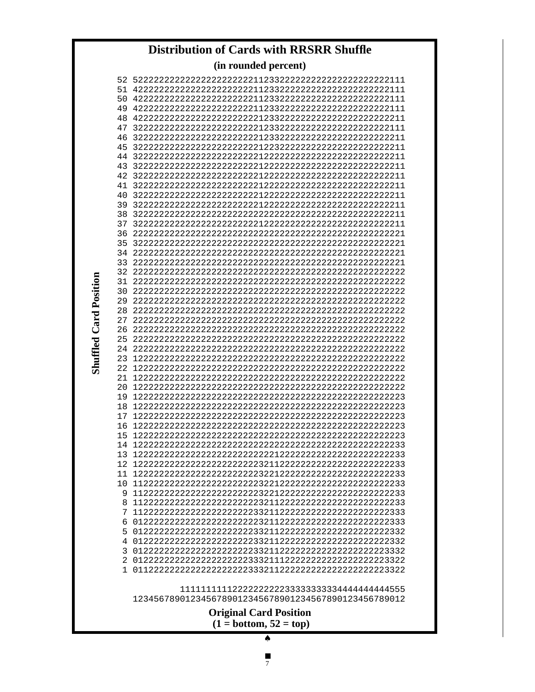# **Distribution of Cards with RRSRR Shuffle**

**(in rounded percent)** 

| 50  |                                                      |
|-----|------------------------------------------------------|
|     |                                                      |
|     |                                                      |
|     |                                                      |
| 46  |                                                      |
|     |                                                      |
| 44  |                                                      |
|     |                                                      |
|     |                                                      |
| 41  |                                                      |
| 40  |                                                      |
|     |                                                      |
|     |                                                      |
|     |                                                      |
|     |                                                      |
|     |                                                      |
| 33  |                                                      |
|     |                                                      |
|     |                                                      |
|     |                                                      |
| 29  |                                                      |
| 28. |                                                      |
| 27  |                                                      |
| 26  |                                                      |
|     |                                                      |
|     |                                                      |
| 23  |                                                      |
|     |                                                      |
| 21  |                                                      |
| 20  |                                                      |
|     |                                                      |
| 18  |                                                      |
| 17  |                                                      |
| 16  |                                                      |
| 15  |                                                      |
|     |                                                      |
|     |                                                      |
|     |                                                      |
|     |                                                      |
|     |                                                      |
|     |                                                      |
|     |                                                      |
|     |                                                      |
|     |                                                      |
|     |                                                      |
|     |                                                      |
|     |                                                      |
| 1.  |                                                      |
|     |                                                      |
|     |                                                      |
|     | 1234567890123456789012345678901234567890123456789012 |
|     | <b>Original Card Position</b>                        |
|     | $(1 = bottom, 52 = top)$                             |
|     | ♠                                                    |

**Shuffled Card Position Shuffled Card Position**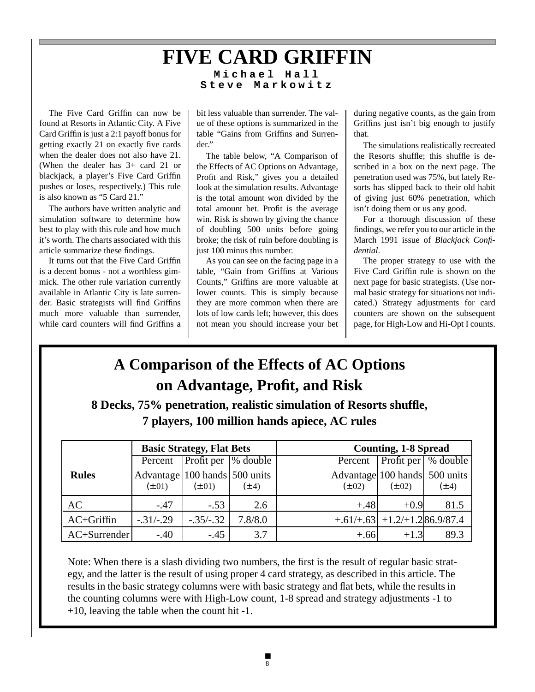## **FIVE CARD GRIFFIN Michael Hall Steve Markowitz**

The Five Card Griffin can now be found at Resorts in Atlantic City. A Five Card Griffin is just a 2:1 payoff bonus for getting exactly 21 on exactly five cards when the dealer does not also have 21. (When the dealer has 3+ card 21 or blackjack, a player's Five Card Griffin pushes or loses, respectively.) This rule is also known as "5 Card 21."

The authors have written analytic and simulation software to determine how best to play with this rule and how much it's worth. The charts associated with this article summarize these findings.

It turns out that the Five Card Griffin is a decent bonus - not a worthless gimmick. The other rule variation currently available in Atlantic City is late surrender. Basic strategists will find Griffins much more valuable than surrender, while card counters will find Griffins a

bit less valuable than surrender. The value of these options is summarized in the table "Gains from Griffins and Surrender."

The table below, "A Comparison of the Effects of AC Options on Advantage, Profit and Risk," gives you a detailed look at the simulation results. Advantage is the total amount won divided by the total amount bet. Profit is the average win. Risk is shown by giving the chance of doubling 500 units before going broke; the risk of ruin before doubling is just 100 minus this number.

As you can see on the facing page in a table, "Gain from Griffins at Various Counts," Griffins are more valuable at lower counts. This is simply because they are more common when there are lots of low cards left; however, this does not mean you should increase your bet

during negative counts, as the gain from Griffins just isn't big enough to justify that.

The simulations realistically recreated the Resorts shuffle; this shuffle is described in a box on the next page. The penetration used was 75%, but lately Resorts has slipped back to their old habit of giving just 60% penetration, which isn't doing them or us any good.

For a thorough discussion of these findings, we refer you to our article in the March 1991 issue of *Blackjack Confidential*.

The proper strategy to use with the Five Card Griffin rule is shown on the next page for basic strategists. (Use normal basic strategy for situations not indicated.) Strategy adjustments for card counters are shown on the subsequent page, for High-Low and Hi-Opt I counts.

# **A Comparison of the Effects of AC Options on Advantage, Profit, and Risk**

**8 Decks, 75% penetration, realistic simulation of Resorts shuffle, 7 players, 100 million hands apiece, AC rules**

|              |                                              | <b>Basic Strategy, Flat Bets</b> |            | <b>Counting, 1-8 Spread</b>                  |                                   |                                 |  |
|--------------|----------------------------------------------|----------------------------------|------------|----------------------------------------------|-----------------------------------|---------------------------------|--|
|              |                                              | Percent Profit per 9% double     |            |                                              |                                   | Percent   Profit per   % double |  |
| <b>Rules</b> | Advantage 100 hands 500 units<br>$(\pm .01)$ | $(\pm .01)$                      | $(\pm .4)$ | Advantage 100 hands 500 units<br>$(\pm .02)$ | $(\pm .02)$                       | $(\pm .4)$                      |  |
| AC           | $-.47$                                       | $-.53$                           | 2.6        | $+.48$                                       | $+0.9$                            | 81.5                            |  |
| $AC+Griffin$ | $-.31/-.29$                                  | $-.35/-.32$                      | 7.8/8.0    |                                              | $+.61/+.63$ + 1.2/+ 1.2 86.9/87.4 |                                 |  |
| $AC+Surface$ | $-.40$                                       | $-.45$                           | 3.7        | $+.66$                                       | $+1.3$                            | 89.3                            |  |

Note: When there is a slash dividing two numbers, the first is the result of regular basic strategy, and the latter is the result of using proper 4 card strategy, as described in this article. The results in the basic strategy columns were with basic strategy and flat bets, while the results in the counting columns were with High-Low count, 1-8 spread and strategy adjustments -1 to +10, leaving the table when the count hit -1.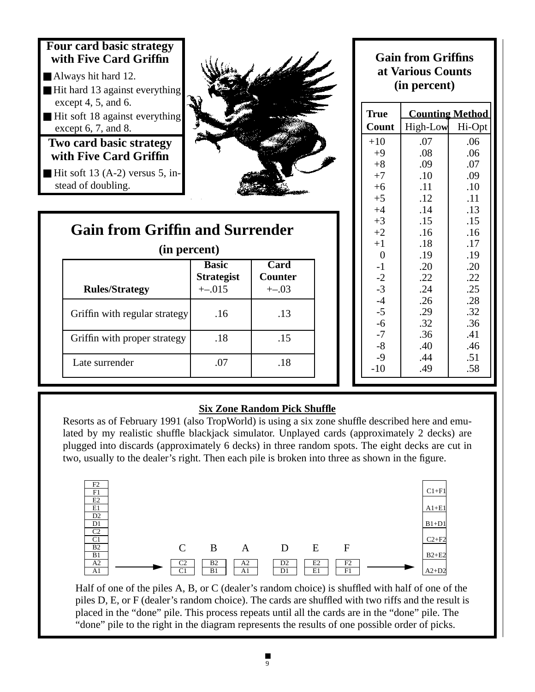![](_page_8_Figure_0.jpeg)

![](_page_8_Picture_1.jpeg)

# **Gain from Griffin and Surrender**

|                       | un percent        |               |
|-----------------------|-------------------|---------------|
|                       | <b>Basic</b>      | Card          |
|                       | <b>Strategist</b> | <b>Counte</b> |
| <b>Rules/Strategy</b> | $+-.015$          | $+(-0.03)$    |

Griffin with regular strategy  $\vert$  .16  $\vert$  .13

Griffin with proper strategy | .18 | .15

Late surrender 1 .07 1 .18

**(in percent)**

## **Gain from Griffins at Various Counts (in percent)**

| True           |          | <b>Counting Method</b> |
|----------------|----------|------------------------|
| Count          | High-Low | Hi-Opt                 |
| $+10$          | .07      | .06                    |
| $+9$           | .08      | .06                    |
| $+8$           | .09      | .07                    |
| $+7$           | .10      | .09                    |
| $+6$           | .11      | .10                    |
| $+5$           | .12      | .11                    |
| $+4$           | .14      | .13                    |
| $+3$           | .15      | .15                    |
| $+2$           | .16      | .16                    |
| $+1$           | .18      | .17                    |
| $\overline{0}$ | .19      | .19                    |
| $-1$           | .20      | .20                    |
| $-2$           | .22      | .22                    |
| $-3$           | .24      | .25                    |
| $-4$           | .26      | .28                    |
| $-5$           | .29      | .32                    |
| $-6$           | .32      | .36                    |
| $-7$           | .36      | .41                    |
| $-8$           | .40      | .46                    |
| $-9$           | .44      | .51                    |
| $-10$          | .49      | .58                    |

## **Six Zone Random Pick Shuffle**

**Basic Card** Counter

Resorts as of February 1991 (also TropWorld) is using a six zone shuffle described here and emulated by my realistic shuffle blackjack simulator. Unplayed cards (approximately 2 decks) are plugged into discards (approximately 6 decks) in three random spots. The eight decks are cut in two, usually to the dealer's right. Then each pile is broken into three as shown in the figure.

![](_page_8_Figure_8.jpeg)

Half of one of the piles A, B, or C (dealer's random choice) is shuffled with half of one of the piles D, E, or F (dealer's random choice). The cards are shuffled with two riffs and the result is placed in the "done" pile. This process repeats until all the cards are in the "done" pile. The "done" pile to the right in the diagram represents the results of one possible order of picks.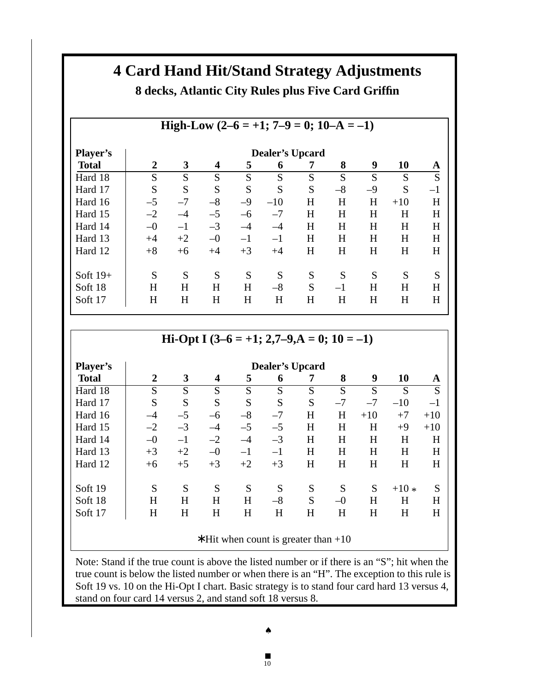# **4 Card Hand Hit/Stand Strategy Adjustments 8 decks, Atlantic City Rules plus Five Card Griffin**

|                 |                |                        |      |      | High-Low $(2-6 = +1; 7-9 = 0; 10-A = -1)$ |   |      |      |       |      |
|-----------------|----------------|------------------------|------|------|-------------------------------------------|---|------|------|-------|------|
| <b>Player's</b> |                | <b>Dealer's Upcard</b> |      |      |                                           |   |      |      |       |      |
| <b>Total</b>    | $\overline{2}$ | 3                      | 4    | 5    | 6                                         | 7 | 8    | 9    | 10    | A    |
| Hard 18         | S              | S                      | S    | S    | S                                         | S | S    | S    | S     | S    |
| Hard 17         | S              | S                      | S    | S    | S                                         | S | $-8$ | $-9$ | S     | $-1$ |
| Hard 16         | $-5$           | $-7$                   | $-8$ | $-9$ | $-10$                                     | H | H    | H    | $+10$ | H    |
| Hard 15         | $-2$           | $-4$                   | $-5$ | $-6$ | $-7$                                      | H | H    | H    | H     | H    |
| Hard 14         | $-0$           | $-1$                   | $-3$ | $-4$ | $-4$                                      | H | H    | H    | H     | H    |
| Hard 13         | $+4$           | $+2$                   | $-0$ | $-1$ | $-1$                                      | H | H    | H    | H     | H    |
| Hard 12         | $+8$           | $+6$                   | $+4$ | $+3$ | $+4$                                      | H | H    | H    | H     | H    |
|                 |                |                        |      |      |                                           |   |      |      |       |      |
| Soft $19+$      | S              | S                      | S    | S    | S                                         | S | S    | S    | S     | S    |
| Soft 18         | H              | H                      | H    | H    | $-8$                                      | S | $-1$ | H    | H     | H    |
| Soft 17         | H              | H                      | H    | H    | H                                         | H | H    | H    | H     | H    |

# **Hi-Opt I (3–6 = +1; 2,7–9,A = 0; 10 = –1)**

| <b>Player's</b> |                |      |                         |      |         | <b>Dealer's Upcard</b> |      |       |        |       |
|-----------------|----------------|------|-------------------------|------|---------|------------------------|------|-------|--------|-------|
| <b>Total</b>    | $\overline{2}$ | 3    | $\overline{\mathbf{4}}$ | 5    | 6       | 7                      | 8    | 9     | 10     | A     |
| Hard 18         | S              | S    | S                       | S    | S       | S                      | S    | S     | S      | S     |
| Hard 17         | S              | S    | S                       | S    | S       | S                      | $-7$ | $-7$  | $-10$  | $-1$  |
| Hard 16         | $-4$           | $-5$ | $-6$                    | $-8$ | $-7$    | H                      | H    | $+10$ | $+7$   | $+10$ |
| Hard 15         | $-2$           | $-3$ | $-4$                    | $-5$ | $-5$    | H                      | H    | H     | $+9$   | $+10$ |
| Hard 14         | $-0$           | $-1$ | $-2$                    | $-4$ | $-3$    | H                      | H    | H     | H      | H     |
| Hard 13         | $+3$           | $+2$ | $-0$                    | $-1$ | $^{-1}$ | H                      | H    | H     | H      | H     |
| Hard 12         | $+6$           | $+5$ | $+3$                    | $+2$ | $+3$    | H                      | H    | H     | H      | H     |
|                 |                |      |                         |      |         |                        |      |       |        |       |
| Soft 19         | S              | S    | S                       | S    | S       | S                      | S    | S     | $+10*$ | S     |
| Soft 18         | H              | H    | H                       | H    | $-8$    | S                      | $-0$ | H     | Н      | H     |
| Soft 17         | H              | H    | H                       | H    | H       | H                      | H    | H     | Η      | H     |
|                 |                |      |                         |      |         |                        |      |       |        |       |

∗ Hit when count is greater than +10

Note: Stand if the true count is above the listed number or if there is an "S"; hit when the true count is below the listed number or when there is an "H". The exception to this rule is Soft 19 vs. 10 on the Hi-Opt I chart. Basic strategy is to stand four card hard 13 versus 4, stand on four card 14 versus 2, and stand soft 18 versus 8.

■ 10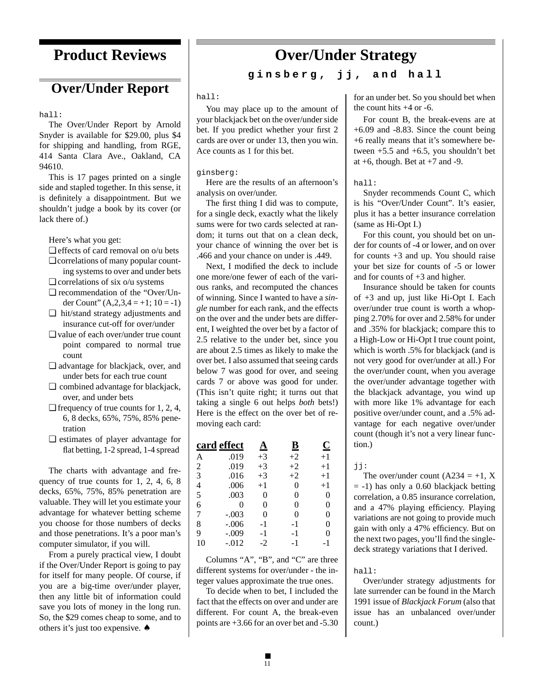# **Product Reviews**

# **Over/Under Report**

hall:

The Over/Under Report by Arnold Snyder is available for \$29.00, plus \$4 for shipping and handling, from RGE, 414 Santa Clara Ave., Oakland, CA 94610.

This is 17 pages printed on a single side and stapled together. In this sense, it is definitely a disappointment. But we shouldn't judge a book by its cover (or lack there of.)

Here's what you get:

- ❏ effects of card removal on o/u bets
- ❏ correlations of many popular counting systems to over and under bets
- $\Box$  correlations of six o/u systems
- ❏ recommendation of the "Over/Under Count"  $(A,2,3,4=+1; 10=-1)$
- ❏ hit/stand strategy adjustments and insurance cut-off for over/under
- ❏ value of each over/under true count point compared to normal true count
- ❏ advantage for blackjack, over, and under bets for each true count
- ❏ combined advantage for blackjack, over, and under bets
- ❏ frequency of true counts for 1, 2, 4, 6, 8 decks, 65%, 75%, 85% penetration
- ❏ estimates of player advantage for flat betting, 1-2 spread, 1-4 spread

The charts with advantage and frequency of true counts for 1, 2, 4, 6, 8 decks, 65%, 75%, 85% penetration are valuable. They will let you estimate your advantage for whatever betting scheme you choose for those numbers of decks and those penetrations. It's a poor man's computer simulator, if you will.

From a purely practical view, I doubt if the Over/Under Report is going to pay for itself for many people. Of course, if you are a big-time over/under player, then any little bit of information could save you lots of money in the long run. So, the \$29 comes cheap to some, and to others it's just too expensive. ♠

# **Over/Under Strategy**

**ginsberg, jj, and hall**

#### hall:

You may place up to the amount of your blackjack bet on the over/under side bet. If you predict whether your first 2 cards are over or under 13, then you win. Ace counts as 1 for this bet.

#### ginsberg:

Here are the results of an afternoon's analysis on over/under.

The first thing I did was to compute, for a single deck, exactly what the likely sums were for two cards selected at random; it turns out that on a clean deck, your chance of winning the over bet is .466 and your chance on under is .449.

Next, I modified the deck to include one more/one fewer of each of the various ranks, and recomputed the chances of winning. Since I wanted to have a *single* number for each rank, and the effects on the over and the under bets are different, I weighted the over bet by a factor of 2.5 relative to the under bet, since you are about 2.5 times as likely to make the over bet. I also assumed that seeing cards below 7 was good for over, and seeing cards 7 or above was good for under. (This isn't quite right; it turns out that taking a single 6 out helps *both* bets!) Here is the effect on the over bet of removing each card:

|                | card effect | <u>А</u> | $\overline{\mathbf{B}}$ | $\bf C$ |
|----------------|-------------|----------|-------------------------|---------|
| А              | .019        | $+3$     | $+2$                    | $+1$    |
| 2              | .019        | $+3$     | $+2$                    | $+1$    |
| 3              | .016        | $+3$     | $+2$                    | $+1$    |
| $\overline{4}$ | .006        | $+1$     | 0                       | $+1$    |
| 5              | .003        | 0        | 0                       | 0       |
| 6              | 0           | 0        | 0                       | 0       |
| 7              | $-.003$     | 0        | 0                       | 0       |
| 8              | $-.006$     | -1       | -1                      | 0       |
| 9              | $-.009$     | -1       | -1                      | 0       |
| 10             | -.012       | $-2$     | - 1                     | -1      |

Columns "A", "B", and "C" are three different systems for over/under - the integer values approximate the true ones.

To decide when to bet, I included the fact that the effects on over and under are different. For count A, the break-even points are +3.66 for an over bet and -5.30

for an under bet. So you should bet when the count hits +4 or -6.

For count B, the break-evens are at +6.09 and -8.83. Since the count being +6 really means that it's somewhere between  $+5.5$  and  $+6.5$ , you shouldn't bet at  $+6$ , though. Bet at  $+7$  and  $-9$ .

#### hall:

Snyder recommends Count C, which is his "Over/Under Count". It's easier, plus it has a better insurance correlation (same as Hi-Opt I.)

For this count, you should bet on under for counts of -4 or lower, and on over for counts +3 and up. You should raise your bet size for counts of -5 or lower and for counts of  $+3$  and higher.

Insurance should be taken for counts of +3 and up, just like Hi-Opt I. Each over/under true count is worth a whopping 2.70% for over and 2.58% for under and .35% for blackjack; compare this to a High-Low or Hi-Opt I true count point, which is worth .5% for blackjack (and is not very good for over/under at all.) For the over/under count, when you average the over/under advantage together with the blackjack advantage, you wind up with more like 1% advantage for each positive over/under count, and a .5% advantage for each negative over/under count (though it's not a very linear function.)

#### jj:

The over/under count  $(A234 = +1, X)$  $= -1$ ) has only a 0.60 blackjack betting correlation, a 0.85 insurance correlation, and a 47% playing efficiency. Playing variations are not going to provide much gain with only a 47% efficiency. But on the next two pages, you'll find the singledeck strategy variations that I derived.

#### hall:

Over/under strategy adjustments for late surrender can be found in the March 1991 issue of *Blackjack Forum* (also that issue has an unbalanced over/under count.)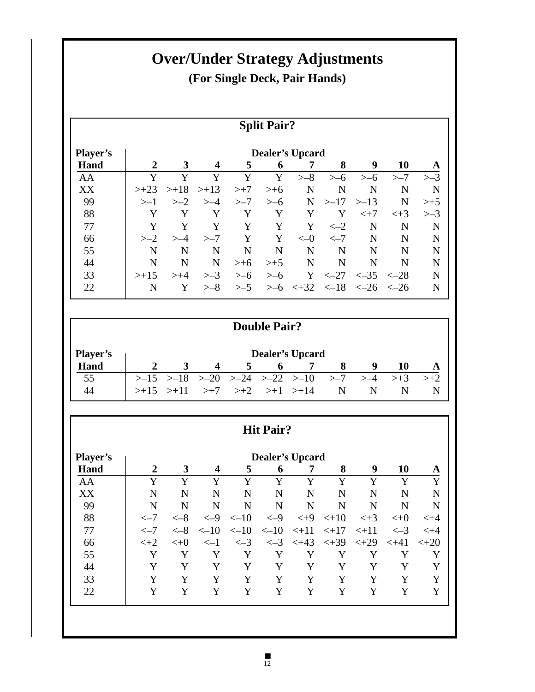# **Over/Under Strategy Adjustments (For Single Deck, Pair Hands)**

# **Split Pair?**

| <b>Player's</b> |                |                 |                  |        |           | <b>Dealer's Upcard</b> |                |                 |                 |         |
|-----------------|----------------|-----------------|------------------|--------|-----------|------------------------|----------------|-----------------|-----------------|---------|
| Hand            | $\overline{2}$ | 3               | $\boldsymbol{4}$ | 5      | 6         | 7                      | 8              | 9               | 10              | A       |
| AA              | Y              | Y               | Y                | Y      | Y         | $> -8$                 | >–6            | >–6             | $> -7$          | $> -3$  |
| XX              | $> +23$        | $> +18$ $> +13$ |                  | $> +7$ | $>+6$     | N                      | N              | N               | N               | N       |
| 99              | >1             | $>-2$           | $>-4$            | $> -7$ | >–6       | N                      | >17            | >13             | N               | $> +5$  |
| 88              | Y              |                 | Y                | Y      | Y         | Y                      | Y              | $< +7$          | $<+3$           | $> = 3$ |
| 77              | Y              | Y               | Y                | Y      | Y         | Y                      | $\leftarrow$ 2 | N               | N               | N       |
| 66              | $>-2$          | $>-4$           | >–7              | Y      | Y         | $<-0$                  | $\leftarrow$ 7 | N               | N               | N       |
| 55              | N              | N               | N                | N      | N         | N                      | N              | N               | N               | N       |
| 44              | N              | N               | N                | $>+6$  | $>+5$     | N                      | N              | N               | N               | N       |
| 33              | $> +15$        | $> +4$          | $> -3$           | >–6    | >–6       | Y                      | $<-27$         | $\leftarrow 35$ | $<-28$          | N       |
| 22              | N              |                 | >–8              | >–5    | $\geq -6$ | $\leq +32$             | $\leq -18$     | $\epsilon$ -26  | $\epsilon - 26$ | N       |

|                 | <b>Double Pair?</b>    |                       |    |   |                                                     |  |              |    |  |  |
|-----------------|------------------------|-----------------------|----|---|-----------------------------------------------------|--|--------------|----|--|--|
| <b>Player's</b> | <b>Dealer's Upcard</b> |                       |    |   |                                                     |  |              |    |  |  |
| Hand            |                        | $\boldsymbol{\Delta}$ | 5. | 6 |                                                     |  | 9            | 10 |  |  |
| 55              |                        |                       |    |   | $>15$ $>18$ $>20$ $>24$ $>22$ $>10$ $>7$ $>4$ $>13$ |  |              |    |  |  |
|                 |                        |                       |    |   | $>>15$ $>>11$ $>>7$ $>>2$ $>>1$ $>>14$ N            |  | $\mathbb{N}$ |    |  |  |

# **Hit Pair?**

| 3<br>Y<br>N | 4<br>v     | 5<br>Y          | 6              |         | 8                                          | 9       | 10        | A       |
|-------------|------------|-----------------|----------------|---------|--------------------------------------------|---------|-----------|---------|
|             |            |                 |                |         |                                            |         |           |         |
|             |            |                 | Y              | Y       | Y                                          | Y       | Y         | Y       |
|             | N          | N               | N              | N       | N                                          | N       | N         | N       |
| N           | N          | N               | N              | N       | N                                          | N       | N         | N       |
| $<-8$       | $<-9$      | $<-10$          | $<-9$          | $< +9$  | $< +10$                                    | $<+3$   | $< +0$    | $< +4$  |
| $<-8$       | $\leq -10$ | $\leftarrow 10$ | $\epsilon$ -10 | $< +11$ | $< +17$                                    | $< +11$ | $\leq -3$ | $< +4$  |
| $< +0$      | $\leq -1$  | $\leftarrow$ 3  |                |         | $< +39$                                    | $< +29$ | $< +41$   | $< +20$ |
| Y           | Y          | Y               | Y              | Y       | Y                                          | Y       | Y         | Y       |
| Y           | Y          | Y               | Y              | Y       | Y                                          | Y       | Y         | Y       |
| Y           | Y          | Y               | Y              | Y       | Y                                          | Y       | Y         | Y       |
|             |            |                 | Y              | Y       |                                            | Y       | Y         | Y       |
|             |            |                 |                |         | $\langle -3 \rangle$ $\langle +43 \rangle$ |         |           |         |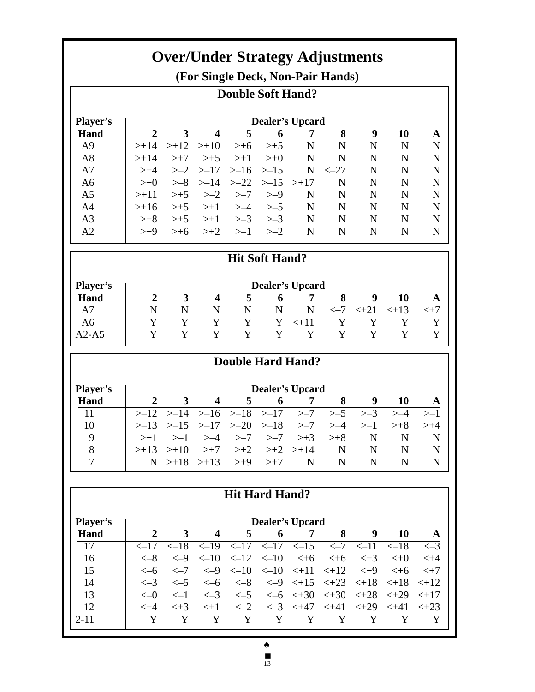| <b>Over/Under Strategy Adjustments</b><br>(For Single Deck, Non-Pair Hands) |                                           |                            |                                                  |                            |                  |                             |                            |                   |                        |                      |
|-----------------------------------------------------------------------------|-------------------------------------------|----------------------------|--------------------------------------------------|----------------------------|------------------|-----------------------------|----------------------------|-------------------|------------------------|----------------------|
| <b>Double Soft Hand?</b>                                                    |                                           |                            |                                                  |                            |                  |                             |                            |                   |                        |                      |
| <b>Dealer's Upcard</b>                                                      |                                           |                            |                                                  |                            |                  |                             |                            |                   |                        |                      |
| <b>Player's</b>                                                             |                                           |                            |                                                  |                            |                  |                             |                            |                   |                        |                      |
| Hand                                                                        | $\overline{2}$                            | $\overline{\mathbf{3}}$    | $\overline{\mathbf{4}}$                          | 5                          | 6                | 7                           | 8                          | 9                 | 10                     | A                    |
| A <sub>9</sub>                                                              | $> +14$                                   | $> +12$                    | $> +10$                                          | $>+6$                      | $> +5$           | $\mathbf N$                 | $\mathbf N$                | $\overline{N}$    | $\mathbf N$            | $\mathbf N$          |
| A8                                                                          | $> +14$                                   | $> +7$                     | $> +5$                                           | $> +1$                     | $> +0$           | N                           | N                          | N                 | N                      | $\mathbf N$          |
| A7                                                                          | $> +4$                                    | $>-2$                      | $> -17$                                          | $> -16$                    | $> -15$          | $\mathbf N$                 | $<-27$                     | $\mathbf N$       | $\mathbf N$            | N                    |
| A <sub>6</sub>                                                              | $\rightarrow +0$                          | $> -8$                     | $> -14$                                          | $>-22$                     | $> -15$          | $> +17$                     | N                          | $\mathbf N$       | $\mathbf N$            | $\mathbf N$          |
| A <sub>5</sub>                                                              | $> +11$                                   | $>+5$                      | $> -2$                                           | >–7                        | $> -9$           | N                           | N                          | N                 | $\mathbf N$            | $\mathbf N$          |
| A <sub>4</sub>                                                              | $> +16$                                   | $>+5$                      | $> +1$                                           | $> -4$                     | >–5              | $\mathbf N$                 | $\mathbf N$                | $\mathbf N$       | $\mathbf N$            | $\mathbf N$          |
| A <sub>3</sub>                                                              | $> +8$                                    | $>+5$                      | $> +1$                                           | $> -3$                     | $> -3$           | $\mathbf N$                 | N                          | N                 | N                      | $\mathbf N$          |
| A <sub>2</sub>                                                              | $> +9$                                    | $>+6$                      | $> +2$                                           | $>-1$                      | $> -2$           | N                           | N                          | N                 | N                      | N                    |
| <b>Hit Soft Hand?</b>                                                       |                                           |                            |                                                  |                            |                  |                             |                            |                   |                        |                      |
|                                                                             | <b>Dealer's Upcard</b>                    |                            |                                                  |                            |                  |                             |                            |                   |                        |                      |
| <b>Player's</b>                                                             |                                           |                            |                                                  |                            |                  |                             |                            | 9                 |                        |                      |
| Hand<br>$\overline{A7}$                                                     | $\boldsymbol{2}$<br>$\overline{\text{N}}$ | 3<br>$\overline{\text{N}}$ | $\overline{\mathbf{4}}$<br>$\overline{\text{N}}$ | 5<br>$\overline{\text{N}}$ | 6<br>N           | 7<br>$\overline{\text{N}}$  | 8<br>$\overline{<-7}$      | $\overline{2+21}$ | 10<br>$\overline{+13}$ | A<br>$\overline{+7}$ |
|                                                                             | Y                                         | Y                          | Y                                                | Y                          | Y                |                             | Y                          | Y                 |                        | Y                    |
| A <sub>6</sub><br>$A2-A5$                                                   | Y                                         | Y                          | Y                                                | Y                          | Y                | $< +11$<br>Y                | Y                          | Y                 | Y<br>Y                 | Y                    |
|                                                                             |                                           |                            |                                                  |                            |                  |                             |                            |                   |                        |                      |
|                                                                             |                                           |                            |                                                  |                            |                  |                             |                            |                   |                        |                      |
|                                                                             |                                           |                            |                                                  | <b>Double Hard Hand?</b>   |                  |                             |                            |                   |                        |                      |
|                                                                             |                                           |                            |                                                  |                            |                  |                             |                            |                   |                        |                      |
| Player's<br>Hand                                                            | $\overline{2}$                            | 3                          | $\overline{\mathbf{4}}$                          |                            | 6                | <b>Dealer's Upcard</b><br>7 |                            | 9                 |                        |                      |
| 11                                                                          | $> -12$                                   | $> -14$                    |                                                  | 5                          | >17              | $> -7$                      | 8<br>$> -5$                | $> -3$            | 10<br>$>-4$            | A                    |
| 10                                                                          |                                           |                            | >16                                              | $> -18$                    |                  | $> -7$                      | $> -4$                     | >1                |                        | $> +4$               |
|                                                                             | >13                                       | $> -15$                    | >17                                              | $>-20$                     | $> -18$          |                             |                            |                   | $> +8$                 |                      |
| 9                                                                           | $> +1$                                    | >1<br>$> +10$              | $> -4$                                           | $> -7$                     | >–7              | $> +3$                      | $> +8$                     | N                 | ${\bf N}$              | $\mathbf N$          |
| 8<br>$\overline{7}$                                                         | $> +13$<br>N                              | $> +18$                    | $> +7$<br>$> +13$                                | $> +2$<br>$> +9$           | $> +2$<br>$> +7$ | $> +14$<br>N                | $\mathbf N$<br>$\mathbf N$ | $\mathbf N$<br>N  | $\mathbf N$<br>N       | $\mathbf N$<br>N     |
|                                                                             |                                           |                            |                                                  |                            |                  |                             |                            |                   |                        |                      |
|                                                                             |                                           |                            |                                                  | <b>Hit Hard Hand?</b>      |                  |                             |                            |                   |                        |                      |
|                                                                             |                                           |                            |                                                  |                            |                  |                             |                            |                   |                        |                      |
| Player's                                                                    |                                           |                            |                                                  |                            |                  | <b>Dealer's Upcard</b>      |                            |                   |                        |                      |
| Hand                                                                        | $\boldsymbol{2}$                          | $\mathbf{3}$               | $\overline{\mathbf{4}}$                          | 5                          | 6                | 7                           | 8                          | 9                 | 10                     | $\mathbf{A}$         |
| $\overline{17}$                                                             | $<-17$                                    | $\overline{<-18}$          | $\le -19$                                        | $\overline{<-17}$          | $\le -17$        | $<-15$                      | $\leftarrow$ 7             | $<-11$            | $<-18$                 | $\leq -3$            |
| 16                                                                          | $<-8$                                     | $<-9$                      | $<-10$                                           | $<-12$                     | $<-10$           | $< +6$                      | $<+6$                      | $<+3$             | $< +0$                 | $< +4$               |
| 15                                                                          | $<-6$                                     | $\leftarrow$ 7             | $<-9$                                            | $<-10$                     |                  | $<-10$ $<+11$               | $< +12$                    | $< +9$            | $< +6$                 | $< +7$               |
| 14                                                                          | $\leftarrow$ 3                            | $<-5$                      | $<-6$                                            | $<-8$                      | $<-9$            | $< +15$                     | $< +23$                    | $< +18$           | $< +18$                | $< +12$              |
| 13                                                                          | $<-0$                                     | $\leq -1$                  | $\leftarrow$ 3                                   | $\leq -5$                  |                  | $<-6$ $<+30$                | $< +30$                    | $< +28$           | $< +29$                | $< +17$              |
| 12<br>$2 - 11$                                                              | $< +4$<br>Y                               | $<+3$<br>Y                 | $<+1$<br>Y                                       | $\leftarrow$ 2<br>Y        | Y                | $<-3$ $<+47$<br>Y           | $< +41$<br>Y               | $< +29$<br>Y      | $< +41$<br>Y           | $< +23$<br>Y         |

♠

<sup>■</sup> 13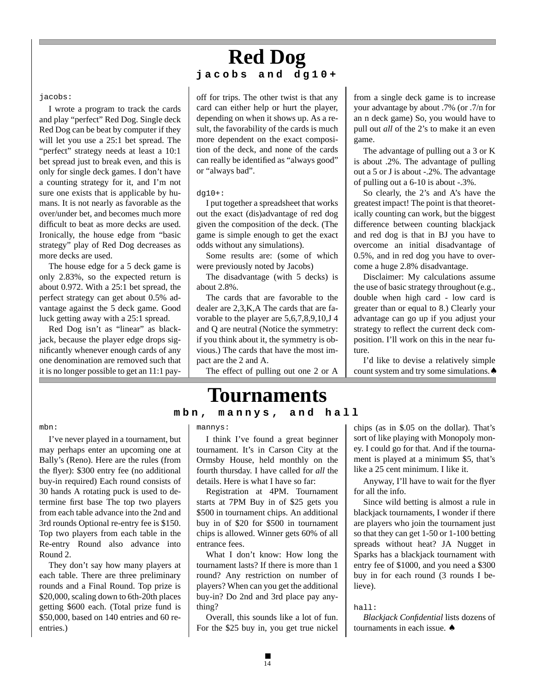# **Red Dog jacobs and dg10+**

#### jacobs:

I wrote a program to track the cards and play "perfect" Red Dog. Single deck Red Dog can be beat by computer if they will let you use a 25:1 bet spread. The "perfect" strategy needs at least a 10:1 bet spread just to break even, and this is only for single deck games. I don't have a counting strategy for it, and I'm not sure one exists that is applicable by humans. It is not nearly as favorable as the over/under bet, and becomes much more difficult to beat as more decks are used. Ironically, the house edge from "basic strategy" play of Red Dog decreases as more decks are used.

The house edge for a 5 deck game is only 2.83%, so the expected return is about 0.972. With a 25:1 bet spread, the perfect strategy can get about 0.5% advantage against the 5 deck game. Good luck getting away with a 25:1 spread.

Red Dog isn't as "linear" as blackjack, because the player edge drops significantly whenever enough cards of any one denomination are removed such that it is no longer possible to get an 11:1 payoff for trips. The other twist is that any card can either help or hurt the player, depending on when it shows up. As a result, the favorability of the cards is much more dependent on the exact composition of the deck, and none of the cards can really be identified as "always good" or "always bad".

#### dg10+:

I put together a spreadsheet that works out the exact (dis)advantage of red dog given the composition of the deck. (The game is simple enough to get the exact odds without any simulations).

Some results are: (some of which were previously noted by Jacobs)

The disadvantage (with 5 decks) is about 2.8%.

The cards that are favorable to the dealer are 2,3,K,A The cards that are favorable to the player are 5,6,7,8,9,10,J 4 and Q are neutral (Notice the symmetry: if you think about it, the symmetry is obvious.) The cards that have the most impact are the 2 and A.

The effect of pulling out one 2 or A

# **Tournaments**

## **mbn, mannys, and hall**

#### mbn:

I've never played in a tournament, but may perhaps enter an upcoming one at Bally's (Reno). Here are the rules (from the flyer): \$300 entry fee (no additional buy-in required) Each round consists of 30 hands A rotating puck is used to determine first base The top two players from each table advance into the 2nd and 3rd rounds Optional re-entry fee is \$150. Top two players from each table in the Re-entry Round also advance into Round 2.

They don't say how many players at each table. There are three preliminary rounds and a Final Round. Top prize is \$20,000, scaling down to 6th-20th places getting \$600 each. (Total prize fund is \$50,000, based on 140 entries and 60 reentries.)

#### mannys:

I think I've found a great beginner tournament. It's in Carson City at the Ormsby House, held monthly on the fourth thursday. I have called for *all* the details. Here is what I have so far:

Registration at 4PM. Tournament starts at 7PM Buy in of \$25 gets you \$500 in tournament chips. An additional buy in of \$20 for \$500 in tournament chips is allowed. Winner gets 60% of all entrance fees.

What I don't know: How long the tournament lasts? If there is more than 1 round? Any restriction on number of players? When can you get the additional buy-in? Do 2nd and 3rd place pay anything?

Overall, this sounds like a lot of fun. For the \$25 buy in, you get true nickel

from a single deck game is to increase your advantage by about .7% (or .7/n for an n deck game) So, you would have to pull out *all* of the 2's to make it an even game.

The advantage of pulling out a 3 or K is about .2%. The advantage of pulling out a 5 or J is about -.2%. The advantage of pulling out a 6-10 is about -.3%.

So clearly, the 2's and A's have the greatest impact! The point is that theoretically counting can work, but the biggest difference between counting blackjack and red dog is that in BJ you have to overcome an initial disadvantage of 0.5%, and in red dog you have to overcome a huge 2.8% disadvantage.

Disclaimer: My calculations assume the use of basic strategy throughout (e.g., double when high card - low card is greater than or equal to 8.) Clearly your advantage can go up if you adjust your strategy to reflect the current deck composition. I'll work on this in the near future.

I'd like to devise a relatively simple count system and try some simulations.♠

chips (as in \$.05 on the dollar). That's sort of like playing with Monopoly money. I could go for that. And if the tournament is played at a minimum \$5, that's like a 25 cent minimum. I like it.

Anyway, I'll have to wait for the flyer for all the info.

Since wild betting is almost a rule in blackjack tournaments, I wonder if there are players who join the tournament just so that they can get 1-50 or 1-100 betting spreads without heat? JA Nugget in Sparks has a blackjack tournament with entry fee of \$1000, and you need a \$300 buy in for each round (3 rounds I believe).

#### hall:

*Blackjack Confidential* lists dozens of tournaments in each issue. ♠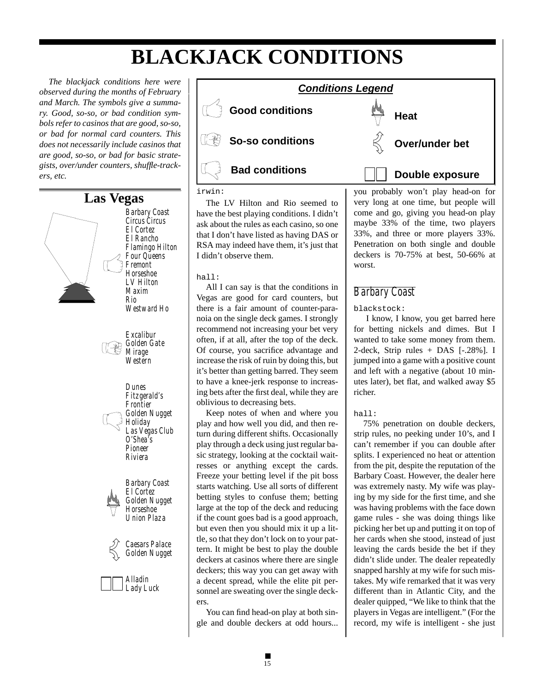# **BLACKJACK CONDITIONS**

*The blackjack conditions here were observed during the months of February and March. The symbols give a summary. Good, so-so, or bad condition symbols refer to casinos that are good, so-so, or bad for normal card counters. This does not necessarily include casinos that are good, so-so, or bad for basic strategists, over/under counters, shuffle-trackers, etc.*

![](_page_14_Figure_2.jpeg)

![](_page_14_Picture_3.jpeg)

irwin:

The LV Hilton and Rio seemed to have the best playing conditions. I didn't ask about the rules as each casino, so one that I don't have listed as having DAS or RSA may indeed have them, it's just that I didn't observe them.

## hall:

All I can say is that the conditions in Vegas are good for card counters, but there is a fair amount of counter-paranoia on the single deck games. I strongly recommend not increasing your bet very often, if at all, after the top of the deck. Of course, you sacrifice advantage and increase the risk of ruin by doing this, but it's better than getting barred. They seem to have a knee-jerk response to increasing bets after the first deal, while they are oblivious to decreasing bets.

Keep notes of when and where you play and how well you did, and then return during different shifts. Occasionally play through a deck using just regular basic strategy, looking at the cocktail waitresses or anything except the cards. Freeze your betting level if the pit boss starts watching. Use all sorts of different betting styles to confuse them; betting large at the top of the deck and reducing if the count goes bad is a good approach, but even then you should mix it up a little, so that they don't lock on to your pattern. It might be best to play the double deckers at casinos where there are single deckers; this way you can get away with a decent spread, while the elite pit personnel are sweating over the single deckers.

You can find head-on play at both single and double deckers at odd hours...

you probably won't play head-on for very long at one time, but people will come and go, giving you head-on play maybe 33% of the time, two players 33%, and three or more players 33%. Penetration on both single and double deckers is 70-75% at best, 50-66% at worst.

## *Barbary Coast*

## blackstock:

 I know, I know, you get barred here for betting nickels and dimes. But I wanted to take some money from them. 2-deck, Strip rules + DAS [-.28%]. I jumped into a game with a positive count and left with a negative (about 10 minutes later), bet flat, and walked away \$5 richer.

## hall:

75% penetration on double deckers, strip rules, no peeking under 10's, and I can't remember if you can double after splits. I experienced no heat or attention from the pit, despite the reputation of the Barbary Coast. However, the dealer here was extremely nasty. My wife was playing by my side for the first time, and she was having problems with the face down game rules - she was doing things like picking her bet up and putting it on top of her cards when she stood, instead of just leaving the cards beside the bet if they didn't slide under. The dealer repeatedly snapped harshly at my wife for such mistakes. My wife remarked that it was very different than in Atlantic City, and the dealer quipped, "We like to think that the players in Vegas are intelligent." (For the record, my wife is intelligent - she just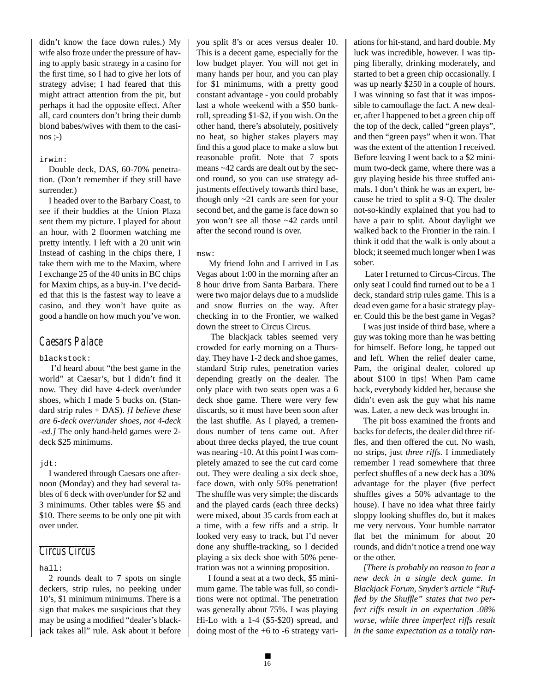didn't know the face down rules.) My wife also froze under the pressure of having to apply basic strategy in a casino for the first time, so I had to give her lots of strategy advise; I had feared that this might attract attention from the pit, but perhaps it had the opposite effect. After all, card counters don't bring their dumb blond babes/wives with them to the casinos ;-)

#### irwin:

Double deck, DAS, 60-70% penetration. (Don't remember if they still have surrender.)

I headed over to the Barbary Coast, to see if their buddies at the Union Plaza sent them my picture. I played for about an hour, with 2 floormen watching me pretty intently. I left with a 20 unit win Instead of cashing in the chips there, I take them with me to the Maxim, where I exchange 25 of the 40 units in BC chips for Maxim chips, as a buy-in. I've decided that this is the fastest way to leave a casino, and they won't have quite as good a handle on how much you've won.

## *Caesars Palace*

## blackstock:

 I'd heard about "the best game in the world" at Caesar's, but I didn't find it now. They did have 4-deck over/under shoes, which I made 5 bucks on. (Standard strip rules + DAS). *[I believe these are 6-deck over/under shoes, not 4-deck -ed.]* The only hand-held games were 2 deck \$25 minimums.

#### jdt:

I wandered through Caesars one afternoon (Monday) and they had several tables of 6 deck with over/under for \$2 and 3 minimums. Other tables were \$5 and \$10. There seems to be only one pit with over under.

## *Circus Circus*

#### hall:

2 rounds dealt to 7 spots on single deckers, strip rules, no peeking under 10's, \$1 minimum minimums. There is a sign that makes me suspicious that they may be using a modified "dealer's blackjack takes all" rule. Ask about it before you split 8's or aces versus dealer 10. This is a decent game, especially for the low budget player. You will not get in many hands per hour, and you can play for \$1 minimums, with a pretty good constant advantage - you could probably last a whole weekend with a \$50 bankroll, spreading \$1-\$2, if you wish. On the other hand, there's absolutely, positively no heat, so higher stakes players may find this a good place to make a slow but reasonable profit. Note that 7 spots means ~42 cards are dealt out by the second round, so you can use strategy adjustments effectively towards third base, though only ~21 cards are seen for your second bet, and the game is face down so you won't see all those ~42 cards until after the second round is over.

#### msw:

 My friend John and I arrived in Las Vegas about 1:00 in the morning after an 8 hour drive from Santa Barbara. There were two major delays due to a mudslide and snow flurries on the way. After checking in to the Frontier, we walked down the street to Circus Circus.

 The blackjack tables seemed very crowded for early morning on a Thursday. They have 1-2 deck and shoe games, standard Strip rules, penetration varies depending greatly on the dealer. The only place with two seats open was a 6 deck shoe game. There were very few discards, so it must have been soon after the last shuffle. As I played, a tremendous number of tens came out. After about three decks played, the true count was nearing -10. At this point I was completely amazed to see the cut card come out. They were dealing a six deck shoe, face down, with only 50% penetration! The shuffle was very simple; the discards and the played cards (each three decks) were mixed, about 35 cards from each at a time, with a few riffs and a strip. It looked very easy to track, but I'd never done any shuffle-tracking, so I decided playing a six deck shoe with 50% penetration was not a winning proposition.

 I found a seat at a two deck, \$5 minimum game. The table was full, so conditions were not optimal. The penetration was generally about 75%. I was playing Hi-Lo with a 1-4 (\$5-\$20) spread, and doing most of the +6 to -6 strategy vari-

ations for hit-stand, and hard double. My luck was incredible, however. I was tipping liberally, drinking moderately, and started to bet a green chip occasionally. I was up nearly \$250 in a couple of hours. I was winning so fast that it was impossible to camouflage the fact. A new dealer, after I happened to bet a green chip off the top of the deck, called "green plays", and then "green pays" when it won. That was the extent of the attention I received. Before leaving I went back to a \$2 minimum two-deck game, where there was a guy playing beside his three stuffed animals. I don't think he was an expert, because he tried to split a 9-Q. The dealer not-so-kindly explained that you had to have a pair to split. About daylight we walked back to the Frontier in the rain. I think it odd that the walk is only about a block; it seemed much longer when I was sober.

 Later I returned to Circus-Circus. The only seat I could find turned out to be a 1 deck, standard strip rules game. This is a dead even game for a basic strategy player. Could this be the best game in Vegas?

I was just inside of third base, where a guy was toking more than he was betting for himself. Before long, he tapped out and left. When the relief dealer came, Pam, the original dealer, colored up about \$100 in tips! When Pam came back, everybody kidded her, because she didn't even ask the guy what his name was. Later, a new deck was brought in.

The pit boss examined the fronts and backs for defects, the dealer did three riffles, and then offered the cut. No wash, no strips, just *three riffs*. I immediately remember I read somewhere that three perfect shuffles of a new deck has a 30% advantage for the player (five perfect shuffles gives a 50% advantage to the house). I have no idea what three fairly sloppy looking shuffles do, but it makes me very nervous. Your humble narrator flat bet the minimum for about 20 rounds, and didn't notice a trend one way or the other.

*[There is probably no reason to fear a new deck in a single deck game. In Blackjack Forum, Snyder's article "Ruffled by the Shuffle" states that two perfect riffs result in an expectation .08% worse, while three imperfect riffs result in the same expectation as a totally ran-*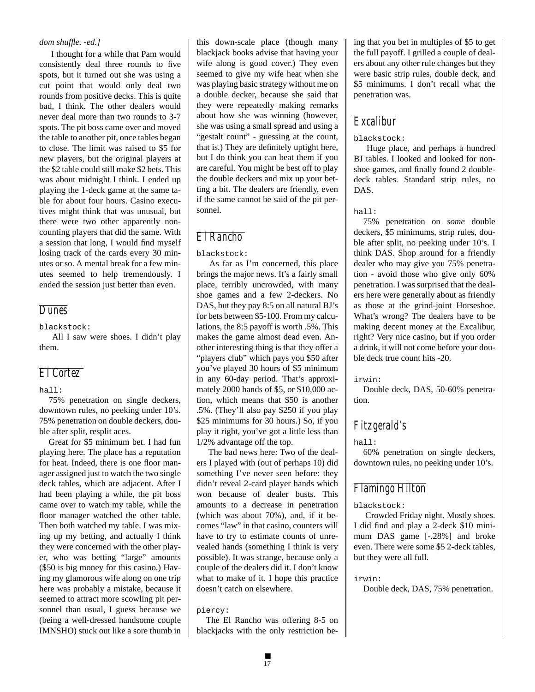## *dom shuffle. -ed.]*

 I thought for a while that Pam would consistently deal three rounds to five spots, but it turned out she was using a cut point that would only deal two rounds from positive decks. This is quite bad, I think. The other dealers would never deal more than two rounds to 3-7 spots. The pit boss came over and moved the table to another pit, once tables began to close. The limit was raised to \$5 for new players, but the original players at the \$2 table could still make \$2 bets. This was about midnight I think. I ended up playing the 1-deck game at the same table for about four hours. Casino executives might think that was unusual, but there were two other apparently noncounting players that did the same. With a session that long, I would find myself losing track of the cards every 30 minutes or so. A mental break for a few minutes seemed to help tremendously. I ended the session just better than even.

## *Dunes*

blackstock:

 All I saw were shoes. I didn't play them.

## *El Cortez*

## hall:

75% penetration on single deckers, downtown rules, no peeking under 10's. 75% penetration on double deckers, double after split, resplit aces.

Great for \$5 minimum bet. I had fun playing here. The place has a reputation for heat. Indeed, there is one floor manager assigned just to watch the two single deck tables, which are adjacent. After I had been playing a while, the pit boss came over to watch my table, while the floor manager watched the other table. Then both watched my table. I was mixing up my betting, and actually I think they were concerned with the other player, who was betting "large" amounts (\$50 is big money for this casino.) Having my glamorous wife along on one trip here was probably a mistake, because it seemed to attract more scowling pit personnel than usual, I guess because we (being a well-dressed handsome couple IMNSHO) stuck out like a sore thumb in this down-scale place (though many blackjack books advise that having your wife along is good cover.) They even seemed to give my wife heat when she was playing basic strategy without me on a double decker, because she said that they were repeatedly making remarks about how she was winning (however, she was using a small spread and using a "gestalt count" - guessing at the count, that is.) They are definitely uptight here, but I do think you can beat them if you are careful. You might be best off to play the double deckers and mix up your betting a bit. The dealers are friendly, even if the same cannot be said of the pit personnel.

## *El Rancho*

blackstock:

 As far as I'm concerned, this place brings the major news. It's a fairly small place, terribly uncrowded, with many shoe games and a few 2-deckers. No DAS, but they pay 8:5 on all natural BJ's for bets between \$5-100. From my calculations, the 8:5 payoff is worth .5%. This makes the game almost dead even. Another interesting thing is that they offer a "players club" which pays you \$50 after you've played 30 hours of \$5 minimum in any 60-day period. That's approximately 2000 hands of \$5, or \$10,000 action, which means that \$50 is another .5%. (They'll also pay \$250 if you play \$25 minimums for 30 hours.) So, if you play it right, you've got a little less than 1/2% advantage off the top.

 The bad news here: Two of the dealers I played with (out of perhaps 10) did something I've never seen before: they didn't reveal 2-card player hands which won because of dealer busts. This amounts to a decrease in penetration (which was about 70%), and, if it becomes "law" in that casino, counters will have to try to estimate counts of unrevealed hands (something I think is very possible). It was strange, because only a couple of the dealers did it. I don't know what to make of it. I hope this practice doesn't catch on elsewhere.

piercy:

The El Rancho was offering 8-5 on blackjacks with the only restriction be-

ing that you bet in multiples of \$5 to get the full payoff. I grilled a couple of dealers about any other rule changes but they were basic strip rules, double deck, and \$5 minimums. I don't recall what the penetration was.

## *Excalibur*

## blackstock:

 Huge place, and perhaps a hundred BJ tables. I looked and looked for nonshoe games, and finally found 2 doubledeck tables. Standard strip rules, no DAS.

#### hall:

75% penetration on *some* double deckers, \$5 minimums, strip rules, double after split, no peeking under 10's. I think DAS. Shop around for a friendly dealer who may give you 75% penetration - avoid those who give only 60% penetration. I was surprised that the dealers here were generally about as friendly as those at the grind-joint Horseshoe. What's wrong? The dealers have to be making decent money at the Excalibur, right? Very nice casino, but if you order a drink, it will not come before your double deck true count hits -20.

irwin:

Double deck, DAS, 50-60% penetration.

## *Fitzgerald's*

hall:

60% penetration on single deckers, downtown rules, no peeking under 10's.

## *Flamingo Hilton*

blackstock:

 Crowded Friday night. Mostly shoes. I did find and play a 2-deck \$10 minimum DAS game [-.28%] and broke even. There were some \$5 2-deck tables, but they were all full.

irwin:

Double deck, DAS, 75% penetration.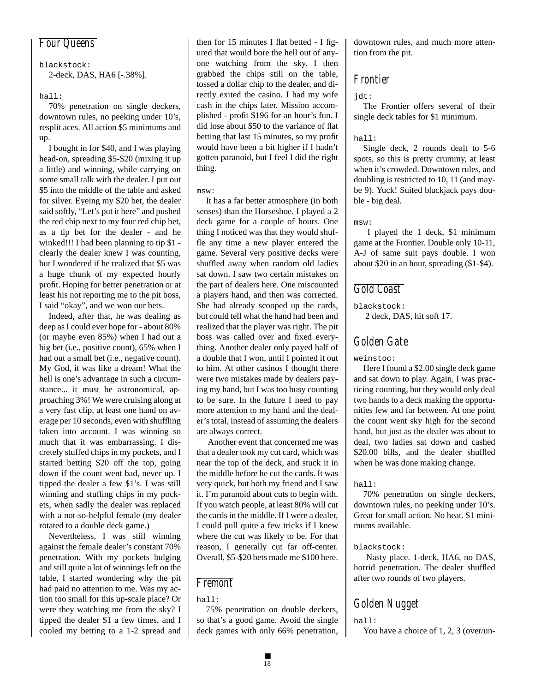## *Four Queens*

blackstock: 2-deck, DAS, HA6 [-.38%].

## hall:

70% penetration on single deckers, downtown rules, no peeking under 10's, resplit aces. All action \$5 minimums and up.

I bought in for \$40, and I was playing head-on, spreading \$5-\$20 (mixing it up a little) and winning, while carrying on some small talk with the dealer. I put out \$5 into the middle of the table and asked for silver. Eyeing my \$20 bet, the dealer said softly, "Let's put it here" and pushed the red chip next to my four red chip bet, as a tip bet for the dealer - and he winked!!! I had been planning to tip \$1 clearly the dealer knew I was counting, but I wondered if he realized that \$5 was a huge chunk of my expected hourly profit. Hoping for better penetration or at least his not reporting me to the pit boss, I said "okay", and we won our bets.

Indeed, after that, he was dealing as deep as I could ever hope for - about 80% (or maybe even 85%) when I had out a big bet (i.e., positive count), 65% when I had out a small bet (i.e., negative count). My God, it was like a dream! What the hell is one's advantage in such a circumstance... it must be astronomical, approaching 3%! We were cruising along at a very fast clip, at least one hand on average per 10 seconds, even with shuffling taken into account. I was winning so much that it was embarrassing. I discretely stuffed chips in my pockets, and I started betting \$20 off the top, going down if the count went bad, never up. I tipped the dealer a few \$1's. I was still winning and stuffing chips in my pockets, when sadly the dealer was replaced with a not-so-helpful female (my dealer rotated to a double deck game.)

Nevertheless, I was still winning against the female dealer's constant 70% penetration. With my pockets bulging and still quite a lot of winnings left on the table, I started wondering why the pit had paid no attention to me. Was my action too small for this up-scale place? Or were they watching me from the sky? I tipped the dealer \$1 a few times, and I cooled my betting to a 1-2 spread and

then for 15 minutes I flat betted - I figured that would bore the hell out of anyone watching from the sky. I then grabbed the chips still on the table, tossed a dollar chip to the dealer, and directly exited the casino. I had my wife cash in the chips later. Mission accomplished - profit \$196 for an hour's fun. I did lose about \$50 to the variance of flat betting that last 15 minutes, so my profit would have been a bit higher if I hadn't gotten paranoid, but I feel I did the right thing.

#### msw:

It has a far better atmosphere (in both senses) than the Horseshoe. I played a 2 deck game for a couple of hours. One thing I noticed was that they would shuffle any time a new player entered the game. Several very positive decks were shuffled away when random old ladies sat down. I saw two certain mistakes on the part of dealers here. One miscounted a players hand, and then was corrected. She had already scooped up the cards, but could tell what the hand had been and realized that the player was right. The pit boss was called over and fixed everything. Another dealer only payed half of a double that I won, until I pointed it out to him. At other casinos I thought there were two mistakes made by dealers paying my hand, but I was too busy counting to be sure. In the future I need to pay more attention to my hand and the dealer's total, instead of assuming the dealers are always correct.

 Another event that concerned me was that a dealer took my cut card, which was near the top of the deck, and stuck it in the middle before he cut the cards. It was very quick, but both my friend and I saw it. I'm paranoid about cuts to begin with. If you watch people, at least 80% will cut the cards in the middle. If I were a dealer, I could pull quite a few tricks if I knew where the cut was likely to be. For that reason, I generally cut far off-center. Overall, \$5-\$20 bets made me \$100 here.

## *Fremont*

hall:

75% penetration on double deckers, so that's a good game. Avoid the single deck games with only 66% penetration, downtown rules, and much more attention from the pit.

## *Frontier*

#### jdt:

The Frontier offers several of their single deck tables for \$1 minimum.

#### hall:

Single deck, 2 rounds dealt to 5-6 spots, so this is pretty crummy, at least when it's crowded. Downtown rules, and doubling is restricted to 10, 11 (and maybe 9). Yuck! Suited blackjack pays double - big deal.

msw:

 I played the 1 deck, \$1 minimum game at the Frontier. Double only 10-11, A-J of same suit pays double. I won about \$20 in an hour, spreading (\$1-\$4).

## *Gold Coast*

blackstock: 2 deck, DAS, hit soft 17.

## *Golden Gate*

weinstoc:

Here I found a \$2.00 single deck game and sat down to play. Again, I was practicing counting, but they would only deal two hands to a deck making the opportunities few and far between. At one point the count went sky high for the second hand, but just as the dealer was about to deal, two ladies sat down and cashed \$20.00 bills, and the dealer shuffled when he was done making change.

hall:

70% penetration on single deckers, downtown rules, no peeking under 10's. Great for small action. No heat. \$1 minimums available.

## blackstock:

 Nasty place. 1-deck, HA6, no DAS, horrid penetration. The dealer shuffled after two rounds of two players.

## *Golden Nugget*

hall:

You have a choice of 1, 2, 3 (over/un-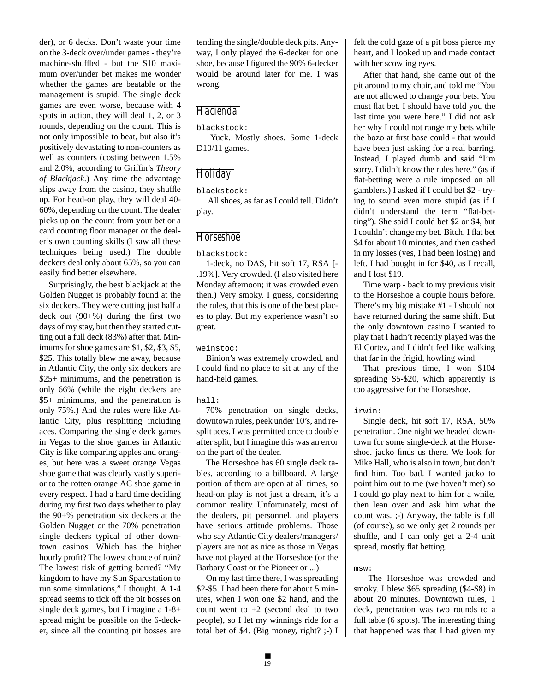der), or 6 decks. Don't waste your time on the 3-deck over/under games - they're machine-shuffled - but the \$10 maximum over/under bet makes me wonder whether the games are beatable or the management is stupid. The single deck games are even worse, because with 4 spots in action, they will deal 1, 2, or 3 rounds, depending on the count. This is not only impossible to beat, but also it's positively devastating to non-counters as well as counters (costing between 1.5% and 2.0%, according to Griffin's *Theory of Blackjack*.) Any time the advantage slips away from the casino, they shuffle up. For head-on play, they will deal 40- 60%, depending on the count. The dealer picks up on the count from your bet or a card counting floor manager or the dealer's own counting skills (I saw all these techniques being used.) The double deckers deal only about 65%, so you can easily find better elsewhere.

Surprisingly, the best blackjack at the Golden Nugget is probably found at the six deckers. They were cutting just half a deck out (90+%) during the first two days of my stay, but then they started cutting out a full deck (83%) after that. Minimums for shoe games are \$1, \$2, \$3, \$5, \$25. This totally blew me away, because in Atlantic City, the only six deckers are \$25+ minimums, and the penetration is only 66% (while the eight deckers are \$5+ minimums, and the penetration is only 75%.) And the rules were like Atlantic City, plus resplitting including aces. Comparing the single deck games in Vegas to the shoe games in Atlantic City is like comparing apples and oranges, but here was a sweet orange Vegas shoe game that was clearly vastly superior to the rotten orange AC shoe game in every respect. I had a hard time deciding during my first two days whether to play the 90+% penetration six deckers at the Golden Nugget or the 70% penetration single deckers typical of other downtown casinos. Which has the higher hourly profit? The lowest chance of ruin? The lowest risk of getting barred? "My kingdom to have my Sun Sparcstation to run some simulations," I thought. A 1-4 spread seems to tick off the pit bosses on single deck games, but I imagine a 1-8+ spread might be possible on the 6-decker, since all the counting pit bosses are tending the single/double deck pits. Anyway, I only played the 6-decker for one shoe, because I figured the 90% 6-decker would be around later for me. I was wrong.

## *Hacienda*

blackstock:

 Yuck. Mostly shoes. Some 1-deck D10/11 games.

## *Holiday*

blackstock:

 All shoes, as far as I could tell. Didn't play.

## *Horseshoe*

blackstock:

1-deck, no DAS, hit soft 17, RSA [- .19%]. Very crowded. (I also visited here Monday afternoon; it was crowded even then.) Very smoky. I guess, considering the rules, that this is one of the best places to play. But my experience wasn't so great.

weinstoc:

Binion's was extremely crowded, and I could find no place to sit at any of the hand-held games.

hall:

70% penetration on single decks, downtown rules, peek under 10's, and resplit aces. I was permitted once to double after split, but I imagine this was an error on the part of the dealer.

The Horseshoe has 60 single deck tables, according to a billboard. A large portion of them are open at all times, so head-on play is not just a dream, it's a common reality. Unfortunately, most of the dealers, pit personnel, and players have serious attitude problems. Those who say Atlantic City dealers/managers/ players are not as nice as those in Vegas have not played at the Horseshoe (or the Barbary Coast or the Pioneer or ...)

On my last time there, I was spreading \$2-\$5. I had been there for about 5 minutes, when I won one \$2 hand, and the count went to +2 (second deal to two people), so I let my winnings ride for a total bet of \$4. (Big money, right? ;-) I

felt the cold gaze of a pit boss pierce my heart, and I looked up and made contact with her scowling eyes.

After that hand, she came out of the pit around to my chair, and told me "You are not allowed to change your bets. You must flat bet. I should have told you the last time you were here." I did not ask her why I could not range my bets while the bozo at first base could - that would have been just asking for a real barring. Instead, I played dumb and said "I'm sorry. I didn't know the rules here." (as if flat-betting were a rule imposed on all gamblers.) I asked if I could bet \$2 - trying to sound even more stupid (as if I didn't understand the term "flat-betting"). She said I could bet \$2 or \$4, but I couldn't change my bet. Bitch. I flat bet \$4 for about 10 minutes, and then cashed in my losses (yes, I had been losing) and left. I had bought in for \$40, as I recall, and I lost \$19.

Time warp - back to my previous visit to the Horseshoe a couple hours before. There's my big mistake #1 - I should not have returned during the same shift. But the only downtown casino I wanted to play that I hadn't recently played was the El Cortez, and I didn't feel like walking that far in the frigid, howling wind.

That previous time, I won \$104 spreading \$5-\$20, which apparently is too aggressive for the Horseshoe.

## irwin:

Single deck, hit soft 17, RSA, 50% penetration. One night we headed downtown for some single-deck at the Horseshoe. jacko finds us there. We look for Mike Hall, who is also in town, but don't find him. Too bad. I wanted jacko to point him out to me (we haven't met) so I could go play next to him for a while, then lean over and ask him what the count was. ;-) Anyway, the table is full (of course), so we only get 2 rounds per shuffle, and I can only get a 2-4 unit spread, mostly flat betting.

msw:

 The Horseshoe was crowded and smoky. I blew \$65 spreading (\$4-\$8) in about 20 minutes. Downtown rules, 1 deck, penetration was two rounds to a full table (6 spots). The interesting thing that happened was that I had given my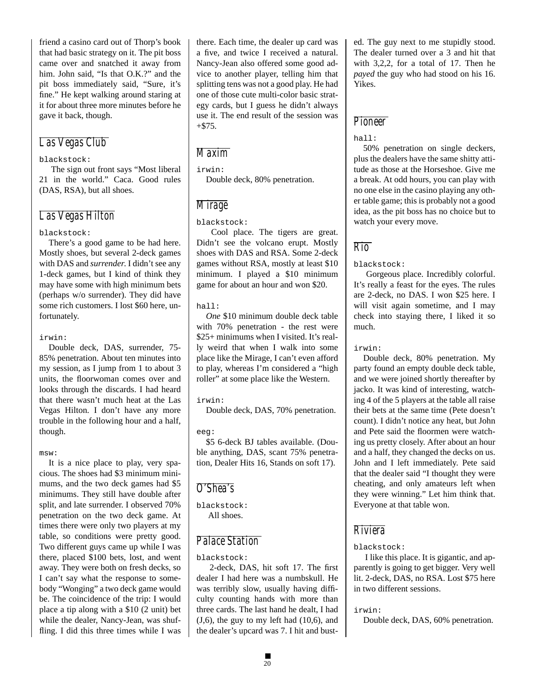friend a casino card out of Thorp's book that had basic strategy on it. The pit boss came over and snatched it away from him. John said, "Is that O.K.?" and the pit boss immediately said, "Sure, it's fine." He kept walking around staring at it for about three more minutes before he gave it back, though.

## *Las Vegas Club*

#### blackstock:

 The sign out front says "Most liberal 21 in the world." Caca. Good rules (DAS, RSA), but all shoes.

## *Las Vegas Hilton*

#### blackstock:

There's a good game to be had here. Mostly shoes, but several 2-deck games with DAS and *surrender*. I didn't see any 1-deck games, but I kind of think they may have some with high minimum bets (perhaps w/o surrender). They did have some rich customers. I lost \$60 here, unfortunately.

#### irwin:

Double deck, DAS, surrender, 75- 85% penetration. About ten minutes into my session, as I jump from 1 to about 3 units, the floorwoman comes over and looks through the discards. I had heard that there wasn't much heat at the Las Vegas Hilton. I don't have any more trouble in the following hour and a half, though.

#### msw:

It is a nice place to play, very spacious. The shoes had \$3 minimum minimums, and the two deck games had \$5 minimums. They still have double after split, and late surrender. I observed 70% penetration on the two deck game. At times there were only two players at my table, so conditions were pretty good. Two different guys came up while I was there, placed \$100 bets, lost, and went away. They were both on fresh decks, so I can't say what the response to somebody "Wonging" a two deck game would be. The coincidence of the trip: I would place a tip along with a \$10 (2 unit) bet while the dealer, Nancy-Jean, was shuffling. I did this three times while I was

there. Each time, the dealer up card was a five, and twice I received a natural. Nancy-Jean also offered some good advice to another player, telling him that splitting tens was not a good play. He had one of those cute multi-color basic strategy cards, but I guess he didn't always use it. The end result of the session was +\$75.

## *Maxim*

irwin:

Double deck, 80% penetration.

## *Mirage*

blackstock:

 Cool place. The tigers are great. Didn't see the volcano erupt. Mostly shoes with DAS and RSA. Some 2-deck games without RSA, mostly at least \$10 minimum. I played a \$10 minimum game for about an hour and won \$20.

#### hall:

*One* \$10 minimum double deck table with 70% penetration - the rest were \$25+ minimums when I visited. It's really weird that when I walk into some place like the Mirage, I can't even afford to play, whereas I'm considered a "high roller" at some place like the Western.

#### irwin:

Double deck, DAS, 70% penetration.

## eeg:

\$5 6-deck BJ tables available. (Double anything, DAS, scant 75% penetration, Dealer Hits 16, Stands on soft 17).

## *O'Shea's*

blackstock: All shoes.

## *Palace Station*

#### blackstock:

 2-deck, DAS, hit soft 17. The first dealer I had here was a numbskull. He was terribly slow, usually having difficulty counting hands with more than three cards. The last hand he dealt, I had  $(J,6)$ , the guy to my left had  $(10,6)$ , and the dealer's upcard was 7. I hit and bust-

ed. The guy next to me stupidly stood. The dealer turned over a 3 and hit that with 3,2,2, for a total of 17. Then he *payed* the guy who had stood on his 16. Yikes.

## *Pioneer*

#### hall:

50% penetration on single deckers, plus the dealers have the same shitty attitude as those at the Horseshoe. Give me a break. At odd hours, you can play with no one else in the casino playing any other table game; this is probably not a good idea, as the pit boss has no choice but to watch your every move.

## *Rio*

## blackstock:

 Gorgeous place. Incredibly colorful. It's really a feast for the eyes. The rules are 2-deck, no DAS. I won \$25 here. I will visit again sometime, and I may check into staying there, I liked it so much.

irwin:

Double deck, 80% penetration. My party found an empty double deck table, and we were joined shortly thereafter by jacko. It was kind of interesting, watching 4 of the 5 players at the table all raise their bets at the same time (Pete doesn't count). I didn't notice any heat, but John and Pete said the floormen were watching us pretty closely. After about an hour and a half, they changed the decks on us. John and I left immediately. Pete said that the dealer said "I thought they were cheating, and only amateurs left when they were winning." Let him think that. Everyone at that table won.

## *Riviera*

## blackstock:

 I like this place. It is gigantic, and apparently is going to get bigger. Very well lit. 2-deck, DAS, no RSA. Lost \$75 here in two different sessions.

## irwin:

Double deck, DAS, 60% penetration.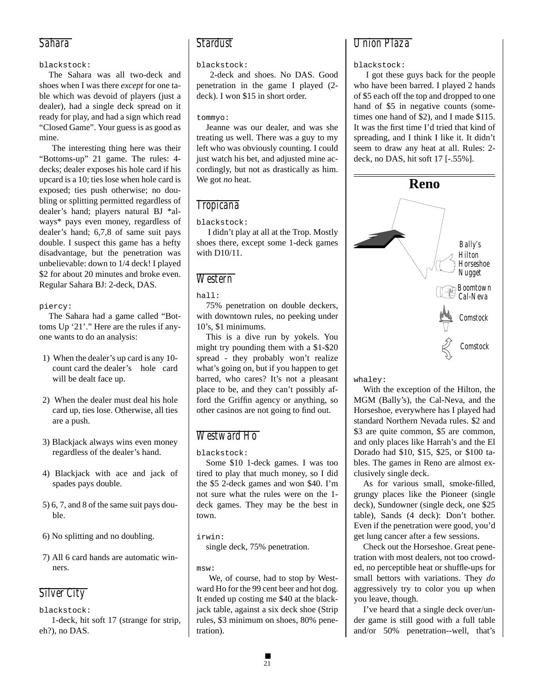## *Sahara*

## blackstock:

The Sahara was all two-deck and shoes when I was there *except* for one table which was devoid of players (just a dealer), had a single deck spread on it ready for play, and had a sign which read "Closed Game". Your guess is as good as mine.

 The interesting thing here was their "Bottoms-up" 21 game. The rules: 4 decks; dealer exposes his hole card if his upcard is a 10; ties lose when hole card is exposed; ties push otherwise; no doubling or splitting permitted regardless of dealer's hand; players natural BJ \*always\* pays even money, regardless of dealer's hand; 6,7,8 of same suit pays double. I suspect this game has a hefty disadvantage, but the penetration was unbelievable: down to 1/4 deck! I played \$2 for about 20 minutes and broke even. Regular Sahara BJ: 2-deck, DAS.

## piercy:

The Sahara had a game called "Bottoms Up '21'." Here are the rules if anyone wants to do an analysis:

- 1) When the dealer's up card is any 10 count card the dealer's hole card will be dealt face up.
- 2) When the dealer must deal his hole card up, ties lose. Otherwise, all ties are a push.
- 3) Blackjack always wins even money regardless of the dealer's hand.
- 4) Blackjack with ace and jack of spades pays double.
- 5) 6, 7, and 8 of the same suit pays double.
- 6) No splitting and no doubling.
- 7) All 6 card hands are automatic winners.

## *Silver City*

blackstock:

 1-deck, hit soft 17 (strange for strip, eh?), no DAS.

## *Stardust*

## blackstock:

 2-deck and shoes. No DAS. Good penetration in the game I played (2 deck). I won \$15 in short order.

## tommyo:

Jeanne was our dealer, and was she treating us well. There was a guy to my left who was obviously counting. I could just watch his bet, and adjusted mine accordingly, but not as drastically as him. We got *no* heat.

# *Tropicana*

## blackstock:

 I didn't play at all at the Trop. Mostly shoes there, except some 1-deck games with D10/11.

## *Western*

## hall:

75% penetration on double deckers, with downtown rules, no peeking under 10's, \$1 minimums.

This is a dive run by yokels. You might try pounding them with a \$1-\$20 spread - they probably won't realize what's going on, but if you happen to get barred, who cares? It's not a pleasant place to be, and they can't possibly afford the Griffin agency or anything, so other casinos are not going to find out.

# *Westward Ho*

blackstock:

Some \$10 1-deck games. I was too tired to play that much money, so I did the \$5 2-deck games and won \$40. I'm not sure what the rules were on the 1 deck games. They may be the best in town.

## irwin:

single deck, 75% penetration.

## msw:

 We, of course, had to stop by Westward Ho for the 99 cent beer and hot dog. It ended up costing me \$40 at the blackjack table, against a six deck shoe (Strip rules, \$3 minimum on shoes, 80% penetration).

## *Union Plaza*

## blackstock:

 I got these guys back for the people who have been barred. I played 2 hands of \$5 each off the top and dropped to one hand of \$5 in negative counts (sometimes one hand of \$2), and I made \$115. It was the first time I'd tried that kind of spreading, and I think I like it. It didn't seem to draw any heat at all. Rules: 2 deck, no DAS, hit soft 17 [-.55%].

![](_page_20_Figure_38.jpeg)

whaley:

With the exception of the Hilton, the MGM (Bally's), the Cal-Neva, and the Horseshoe, everywhere has I played had standard Northern Nevada rules. \$2 and \$3 are quite common, \$5 are common, and only places like Harrah's and the El Dorado had \$10, \$15, \$25, or \$100 tables. The games in Reno are almost exclusively single deck.

As for various small, smoke-filled, grungy places like the Pioneer (single deck), Sundowner (single deck, one \$25 table), Sands (4 deck): Don't bother. Even if the penetration were good, you'd get lung cancer after a few sessions.

Check out the Horseshoe. Great penetration with most dealers, not too crowded, no perceptible heat or shuffle-ups for small bettors with variations. They *do* aggressively try to color you up when you leave, though.

I've heard that a single deck over/under game is still good with a full table and/or 50% penetration--well, that's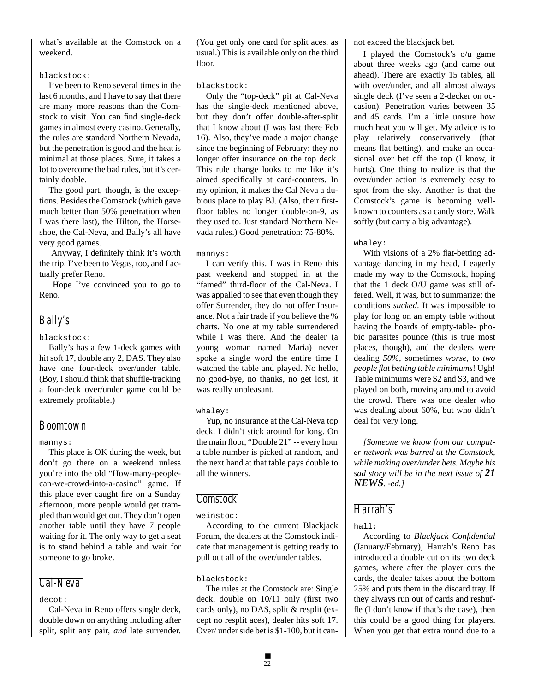what's available at the Comstock on a weekend.

#### blackstock:

I've been to Reno several times in the last 6 months, and I have to say that there are many more reasons than the Comstock to visit. You can find single-deck games in almost every casino. Generally, the rules are standard Northern Nevada, but the penetration is good and the heat is minimal at those places. Sure, it takes a lot to overcome the bad rules, but it's certainly doable.

The good part, though, is the exceptions. Besides the Comstock (which gave much better than 50% penetration when I was there last), the Hilton, the Horseshoe, the Cal-Neva, and Bally's all have very good games.

 Anyway, I definitely think it's worth the trip. I've been to Vegas, too, and I actually prefer Reno.

 Hope I've convinced you to go to Reno.

## *Bally's*

blackstock:

Bally's has a few 1-deck games with hit soft 17, double any 2, DAS. They also have one four-deck over/under table. (Boy, I should think that shuffle-tracking a four-deck over/under game could be extremely profitable.)

## *Boomtown*

## mannys:

This place is OK during the week, but don't go there on a weekend unless you're into the old "How-many-peoplecan-we-crowd-into-a-casino" game. If this place ever caught fire on a Sunday afternoon, more people would get trampled than would get out. They don't open another table until they have 7 people waiting for it. The only way to get a seat is to stand behind a table and wait for someone to go broke.

## *Cal-Neva*

## decot:

Cal-Neva in Reno offers single deck, double down on anything including after split, split any pair, *and* late surrender. (You get only one card for split aces, as usual.) This is available only on the third floor.

#### blackstock:

Only the "top-deck" pit at Cal-Neva has the single-deck mentioned above, but they don't offer double-after-split that I know about (I was last there Feb 16). Also, they've made a major change since the beginning of February: they no longer offer insurance on the top deck. This rule change looks to me like it's aimed specifically at card-counters. In my opinion, it makes the Cal Neva a dubious place to play BJ. (Also, their firstfloor tables no longer double-on-9, as they used to. Just standard Northern Nevada rules.) Good penetration: 75-80%.

#### mannys:

I can verify this. I was in Reno this past weekend and stopped in at the "famed" third-floor of the Cal-Neva. I was appalled to see that even though they offer Surrender, they do not offer Insurance. Not a fair trade if you believe the % charts. No one at my table surrendered while I was there. And the dealer (a young woman named Maria) never spoke a single word the entire time I watched the table and played. No hello, no good-bye, no thanks, no get lost, it was really unpleasant.

## whaley:

Yup, no insurance at the Cal-Neva top deck. I didn't stick around for long. On the main floor, "Double 21" -- every hour a table number is picked at random, and the next hand at that table pays double to all the winners.

## *Comstock*

## weinstoc:

According to the current Blackjack Forum, the dealers at the Comstock indicate that management is getting ready to pull out all of the over/under tables.

## blackstock:

The rules at the Comstock are: Single deck, double on 10/11 only (first two cards only), no DAS, split & resplit (except no resplit aces), dealer hits soft 17. Over/ under side bet is \$1-100, but it cannot exceed the blackjack bet.

I played the Comstock's o/u game about three weeks ago (and came out ahead). There are exactly 15 tables, all with over/under, and all almost always single deck (I've seen a 2-decker on occasion). Penetration varies between 35 and 45 cards. I'm a little unsure how much heat you will get. My advice is to play relatively conservatively (that means flat betting), and make an occasional over bet off the top (I know, it hurts). One thing to realize is that the over/under action is extremely easy to spot from the sky. Another is that the Comstock's game is becoming wellknown to counters as a candy store. Walk softly (but carry a big advantage).

## whaley:

With visions of a 2% flat-betting advantage dancing in my head, I eagerly made my way to the Comstock, hoping that the 1 deck O/U game was still offered. Well, it was, but to summarize: the conditions *sucked*. It was impossible to play for long on an empty table without having the hoards of empty-table- phobic parasites pounce (this is true most places, though), and the dealers were dealing *50%*, sometimes *worse*, to *two people flat betting table minimums*! Ugh! Table minimums were \$2 and \$3, and we played on both, moving around to avoid the crowd. There was one dealer who was dealing about 60%, but who didn't deal for very long.

*[Someone we know from our computer network was barred at the Comstock, while making over/under bets. Maybe his sad story will be in the next issue of 21 NEWS. -ed.]*

## *Harrah's*

## hall:

According to *Blackjack Confidential* (January/February), Harrah's Reno has introduced a double cut on its two deck games, where after the player cuts the cards, the dealer takes about the bottom 25% and puts them in the discard tray. If they always run out of cards and reshuffle (I don't know if that's the case), then this could be a good thing for players. When you get that extra round due to a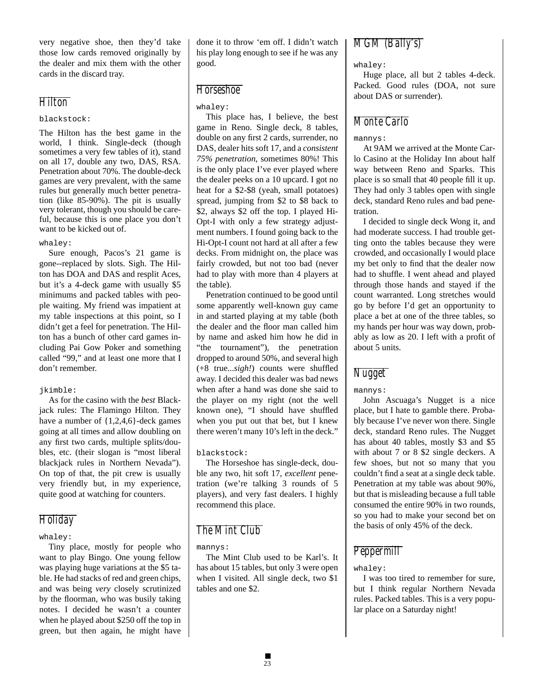very negative shoe, then they'd take those low cards removed originally by the dealer and mix them with the other cards in the discard tray.

## *Hilton*

#### blackstock:

The Hilton has the best game in the world, I think. Single-deck (though sometimes a very few tables of it), stand on all 17, double any two, DAS, RSA. Penetration about 70%. The double-deck games are very prevalent, with the same rules but generally much better penetration (like 85-90%). The pit is usually very tolerant, though you should be careful, because this is one place you don't want to be kicked out of.

#### whaley:

Sure enough, Pacos's 21 game is gone--replaced by slots. Sigh. The Hilton has DOA and DAS and resplit Aces, but it's a 4-deck game with usually \$5 minimums and packed tables with people waiting. My friend was impatient at my table inspections at this point, so I didn't get a feel for penetration. The Hilton has a bunch of other card games including Pai Gow Poker and something called "99," and at least one more that I don't remember.

## jkimble:

As for the casino with the *best* Blackjack rules: The Flamingo Hilton. They have a number of {1,2,4,6}-deck games going at all times and allow doubling on any first two cards, multiple splits/doubles, etc. (their slogan is "most liberal blackjack rules in Northern Nevada"). On top of that, the pit crew is usually very friendly but, in my experience, quite good at watching for counters.

## *Holiday*

## whaley:

Tiny place, mostly for people who want to play Bingo. One young fellow was playing huge variations at the \$5 table. He had stacks of red and green chips, and was being *very* closely scrutinized by the floorman, who was busily taking notes. I decided he wasn't a counter when he played about \$250 off the top in green, but then again, he might have done it to throw 'em off. I didn't watch his play long enough to see if he was any good.

## *Horseshoe*

## whaley:

This place has, I believe, the best game in Reno. Single deck, 8 tables, double on any first 2 cards, surrender, no DAS, dealer hits soft 17, and a *consistent 75% penetration*, sometimes 80%! This is the only place I've ever played where the dealer peeks on a 10 upcard. I got no heat for a \$2-\$8 (yeah, small potatoes) spread, jumping from \$2 to \$8 back to \$2, always \$2 off the top. I played Hi-Opt-I with only a few strategy adjustment numbers. I found going back to the Hi-Opt-I count not hard at all after a few decks. From midnight on, the place was fairly crowded, but not too bad (never had to play with more than 4 players at the table).

Penetration continued to be good until some apparently well-known guy came in and started playing at my table (both the dealer and the floor man called him by name and asked him how he did in "the tournament"), the penetration dropped to around 50%, and several high (+8 true...*sigh!*) counts were shuffled away. I decided this dealer was bad news when after a hand was done she said to the player on my right (not the well known one), "I should have shuffled when you put out that bet, but I knew there weren't many 10's left in the deck."

## blackstock:

The Horseshoe has single-deck, double any two, hit soft 17, *excellent* penetration (we're talking 3 rounds of 5 players), and very fast dealers. I highly recommend this place.

## *The Mint Club*

## mannys:

The Mint Club used to be Karl's. It has about 15 tables, but only 3 were open when I visited. All single deck, two \$1 tables and one \$2.

## *MGM (Bally's)*

## whaley:

Huge place, all but 2 tables 4-deck. Packed. Good rules (DOA, not sure about DAS or surrender).

## *Monte Carlo*

## mannys:

At 9AM we arrived at the Monte Carlo Casino at the Holiday Inn about half way between Reno and Sparks. This place is so small that 40 people fill it up. They had only 3 tables open with single deck, standard Reno rules and bad penetration.

I decided to single deck Wong it, and had moderate success. I had trouble getting onto the tables because they were crowded, and occasionally I would place my bet only to find that the dealer now had to shuffle. I went ahead and played through those hands and stayed if the count warranted. Long stretches would go by before I'd get an opportunity to place a bet at one of the three tables, so my hands per hour was way down, probably as low as 20. I left with a profit of about 5 units.

## *Nugget*

mannys:

John Ascuaga's Nugget is a nice place, but I hate to gamble there. Probably because I've never won there. Single deck, standard Reno rules. The Nugget has about 40 tables, mostly \$3 and \$5 with about 7 or 8 \$2 single deckers. A few shoes, but not so many that you couldn't find a seat at a single deck table. Penetration at my table was about 90%, but that is misleading because a full table consumed the entire 90% in two rounds, so you had to make your second bet on the basis of only 45% of the deck.

## *Peppermill*

## whaley:

I was too tired to remember for sure, but I think regular Northern Nevada rules. Packed tables. This is a very popular place on a Saturday night!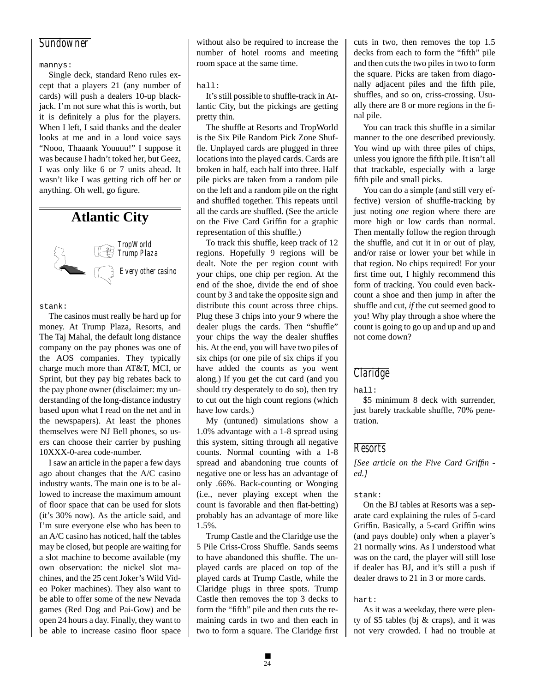## *Sundowner*

#### mannys:

Single deck, standard Reno rules except that a players 21 (any number of cards) will push a dealers 10-up blackjack. I'm not sure what this is worth, but it is definitely a plus for the players. When I left, I said thanks and the dealer looks at me and in a loud voice says "Nooo, Thaaank Youuuu!" I suppose it was because I hadn't toked her, but Geez, I was only like 6 or 7 units ahead. It wasn't like I was getting rich off her or anything. Oh well, go figure.

# **Atlantic City**

![](_page_23_Picture_4.jpeg)

stank:

The casinos must really be hard up for money. At Trump Plaza, Resorts, and The Taj Mahal, the default long distance company on the pay phones was one of the AOS companies. They typically charge much more than AT&T, MCI, or Sprint, but they pay big rebates back to the pay phone owner (disclaimer: my understanding of the long-distance industry based upon what I read on the net and in the newspapers). At least the phones themselves were NJ Bell phones, so users can choose their carrier by pushing 10XXX-0-area code-number.

I saw an article in the paper a few days ago about changes that the A/C casino industry wants. The main one is to be allowed to increase the maximum amount of floor space that can be used for slots (it's 30% now). As the article said, and I'm sure everyone else who has been to an A/C casino has noticed, half the tables may be closed, but people are waiting for a slot machine to become available (my own observation: the nickel slot machines, and the 25 cent Joker's Wild Video Poker machines). They also want to be able to offer some of the new Nevada games (Red Dog and Pai-Gow) and be open 24 hours a day. Finally, they want to be able to increase casino floor space without also be required to increase the number of hotel rooms and meeting room space at the same time.

#### hall:

It's still possible to shuffle-track in Atlantic City, but the pickings are getting pretty thin.

The shuffle at Resorts and TropWorld is the Six Pile Random Pick Zone Shuffle. Unplayed cards are plugged in three locations into the played cards. Cards are broken in half, each half into three. Half pile picks are taken from a random pile on the left and a random pile on the right and shuffled together. This repeats until all the cards are shuffled. (See the article on the Five Card Griffin for a graphic representation of this shuffle.)

To track this shuffle, keep track of 12 regions. Hopefully 9 regions will be dealt. Note the per region count with your chips, one chip per region. At the end of the shoe, divide the end of shoe count by 3 and take the opposite sign and distribute this count across three chips. Plug these 3 chips into your 9 where the dealer plugs the cards. Then "shuffle" your chips the way the dealer shuffles his. At the end, you will have two piles of six chips (or one pile of six chips if you have added the counts as you went along.) If you get the cut card (and you should try desperately to do so), then try to cut out the high count regions (which have low cards.)

My (untuned) simulations show a 1.0% advantage with a 1-8 spread using this system, sitting through all negative counts. Normal counting with a 1-8 spread and abandoning true counts of negative one or less has an advantage of only .66%. Back-counting or Wonging (i.e., never playing except when the count is favorable and then flat-betting) probably has an advantage of more like 1.5%.

Trump Castle and the Claridge use the 5 Pile Criss-Cross Shuffle. Sands seems to have abandoned this shuffle. The unplayed cards are placed on top of the played cards at Trump Castle, while the Claridge plugs in three spots. Trump Castle then removes the top 3 decks to form the "fifth" pile and then cuts the remaining cards in two and then each in two to form a square. The Claridge first

cuts in two, then removes the top 1.5 decks from each to form the "fifth" pile and then cuts the two piles in two to form the square. Picks are taken from diagonally adjacent piles and the fifth pile, shuffles, and so on, criss-crossing. Usually there are 8 or more regions in the final pile.

You can track this shuffle in a similar manner to the one described previously. You wind up with three piles of chips, unless you ignore the fifth pile. It isn't all that trackable, especially with a large fifth pile and small picks.

You can do a simple (and still very effective) version of shuffle-tracking by just noting *one* region where there are more high or low cards than normal. Then mentally follow the region through the shuffle, and cut it in or out of play, and/or raise or lower your bet while in that region. No chips required! For your first time out, I highly recommend this form of tracking. You could even backcount a shoe and then jump in after the shuffle and cut, *if* the cut seemed good to you! Why play through a shoe where the count is going to go up and up and up and not come down?

## *Claridge*

hall:

\$5 minimum 8 deck with surrender, just barely trackable shuffle, 70% penetration.

## *Resorts*

*[See article on the Five Card Griffin ed.]*

#### stank:

On the BJ tables at Resorts was a separate card explaining the rules of 5-card Griffin. Basically, a 5-card Griffin wins (and pays double) only when a player's 21 normally wins. As I understood what was on the card, the player will still lose if dealer has BJ, and it's still a push if dealer draws to 21 in 3 or more cards.

hart:

As it was a weekday, there were plenty of \$5 tables (bj & craps), and it was not very crowded. I had no trouble at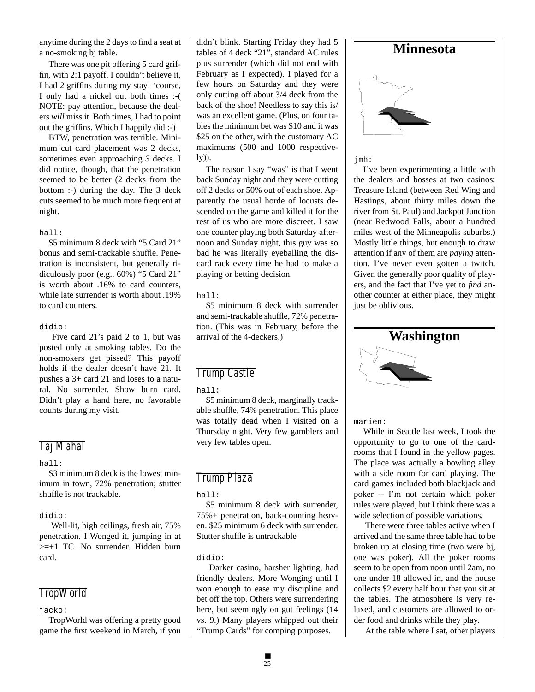anytime during the 2 days to find a seat at a no-smoking bj table.

There was one pit offering 5 card griffin, with 2:1 payoff. I couldn't believe it, I had *2* griffins during my stay! 'course, I only had a nickel out both times :-( NOTE: pay attention, because the dealers *will* miss it. Both times, I had to point out the griffins. Which I happily did :-)

BTW, penetration was terrible. Minimum cut card placement was 2 decks, sometimes even approaching *3* decks. I did notice, though, that the penetration seemed to be better (2 decks from the bottom :-) during the day. The 3 deck cuts seemed to be much more frequent at night.

#### hall:

\$5 minimum 8 deck with "5 Card 21" bonus and semi-trackable shuffle. Penetration is inconsistent, but generally ridiculously poor (e.g., 60%) "5 Card 21" is worth about .16% to card counters, while late surrender is worth about .19% to card counters.

#### didio:

 Five card 21's paid 2 to 1, but was posted only at smoking tables. Do the non-smokers get pissed? This payoff holds if the dealer doesn't have 21. It pushes a 3+ card 21 and loses to a natural. No surrender. Show burn card. Didn't play a hand here, no favorable counts during my visit.

## *Taj Mahal*

hall:

\$3 minimum 8 deck is the lowest minimum in town, 72% penetration; stutter shuffle is not trackable.

## didio:

 Well-lit, high ceilings, fresh air, 75% penetration. I Wonged it, jumping in at >=+1 TC. No surrender. Hidden burn card.

## *TropWorld*

jacko:

TropWorld was offering a pretty good game the first weekend in March, if you didn't blink. Starting Friday they had 5 tables of 4 deck "21", standard AC rules plus surrender (which did not end with February as I expected). I played for a few hours on Saturday and they were only cutting off about 3/4 deck from the back of the shoe! Needless to say this is/ was an excellent game. (Plus, on four tables the minimum bet was \$10 and it was \$25 on the other, with the customary AC maximums (500 and 1000 respectively)).

The reason I say "was" is that I went back Sunday night and they were cutting off 2 decks or 50% out of each shoe. Apparently the usual horde of locusts descended on the game and killed it for the rest of us who are more discreet. I saw one counter playing both Saturday afternoon and Sunday night, this guy was so bad he was literally eyeballing the discard rack every time he had to make a playing or betting decision.

#### hall:

\$5 minimum 8 deck with surrender and semi-trackable shuffle, 72% penetration. (This was in February, before the arrival of the 4-deckers.)

## *Trump Castle*

hall:

\$5 minimum 8 deck, marginally trackable shuffle, 74% penetration. This place was totally dead when I visited on a Thursday night. Very few gamblers and very few tables open.

## *Trump Plaza*

hall:

\$5 minimum 8 deck with surrender, 75%+ penetration, back-counting heaven. \$25 minimum 6 deck with surrender. Stutter shuffle is untrackable

#### didio:

 Darker casino, harsher lighting, had friendly dealers. More Wonging until I won enough to ease my discipline and bet off the top. Others were surrendering here, but seemingly on gut feelings (14 vs. 9.) Many players whipped out their "Trump Cards" for comping purposes.

## **Minnesota**

![](_page_24_Picture_28.jpeg)

jmh:

I've been experimenting a little with the dealers and bosses at two casinos: Treasure Island (between Red Wing and Hastings, about thirty miles down the river from St. Paul) and Jackpot Junction (near Redwood Falls, about a hundred miles west of the Minneapolis suburbs.) Mostly little things, but enough to draw attention if any of them are *paying* attention. I've never even gotten a twitch. Given the generally poor quality of players, and the fact that I've yet to *find* another counter at either place, they might just be oblivious.

![](_page_24_Picture_31.jpeg)

marien:

While in Seattle last week, I took the opportunity to go to one of the cardrooms that I found in the yellow pages. The place was actually a bowling alley with a side room for card playing. The card games included both blackjack and poker -- I'm not certain which poker rules were played, but I think there was a wide selection of possible variations.

 There were three tables active when I arrived and the same three table had to be broken up at closing time (two were bj, one was poker). All the poker rooms seem to be open from noon until 2am, no one under 18 allowed in, and the house collects \$2 every half hour that you sit at the tables. The atmosphere is very relaxed, and customers are allowed to order food and drinks while they play.

At the table where I sat, other players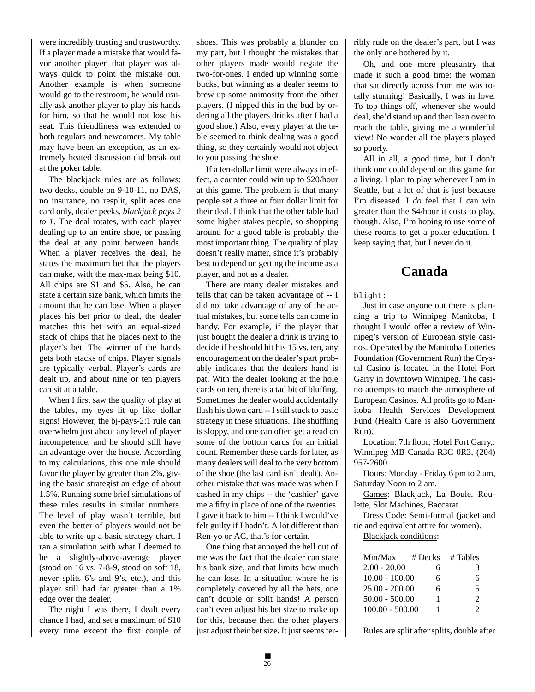were incredibly trusting and trustworthy. If a player made a mistake that would favor another player, that player was always quick to point the mistake out. Another example is when someone would go to the restroom, he would usually ask another player to play his hands for him, so that he would not lose his seat. This friendliness was extended to both regulars and newcomers. My table may have been an exception, as an extremely heated discussion did break out at the poker table.

The blackjack rules are as follows: two decks, double on 9-10-11, no DAS, no insurance, no resplit, split aces one card only, dealer peeks, *blackjack pays 2 to 1*. The deal rotates, with each player dealing up to an entire shoe, or passing the deal at any point between hands. When a player receives the deal, he states the maximum bet that the players can make, with the max-max being \$10. All chips are \$1 and \$5. Also, he can state a certain size bank, which limits the amount that he can lose. When a player places his bet prior to deal, the dealer matches this bet with an equal-sized stack of chips that he places next to the player's bet. The winner of the hands gets both stacks of chips. Player signals are typically verbal. Player's cards are dealt up, and about nine or ten players can sit at a table.

When I first saw the quality of play at the tables, my eyes lit up like dollar signs! However, the bj-pays-2:1 rule can overwhelm just about any level of player incompetence, and he should still have an advantage over the house. According to my calculations, this one rule should favor the player by greater than 2%, giving the basic strategist an edge of about 1.5%. Running some brief simulations of these rules results in similar numbers. The level of play wasn't terrible, but even the better of players would not be able to write up a basic strategy chart. I ran a simulation with what I deemed to be a slightly-above-average player (stood on 16 vs. 7-8-9, stood on soft 18, never splits 6's and 9's, etc.), and this player still had far greater than a 1% edge over the dealer.

The night I was there, I dealt every chance I had, and set a maximum of \$10 every time except the first couple of shoes. This was probably a blunder on my part, but I thought the mistakes that other players made would negate the two-for-ones. I ended up winning some bucks, but winning as a dealer seems to brew up some animosity from the other players. (I nipped this in the bud by ordering all the players drinks after I had a good shoe.) Also, every player at the table seemed to think dealing was a good thing, so they certainly would not object to you passing the shoe.

If a ten-dollar limit were always in effect, a counter could win up to \$20/hour at this game. The problem is that many people set a three or four dollar limit for their deal. I think that the other table had some higher stakes people, so shopping around for a good table is probably the most important thing. The quality of play doesn't really matter, since it's probably best to depend on getting the income as a player, and not as a dealer.

There are many dealer mistakes and tells that can be taken advantage of -- I did not take advantage of any of the actual mistakes, but some tells can come in handy. For example, if the player that just bought the dealer a drink is trying to decide if he should hit his 15 vs. ten, any encouragement on the dealer's part probably indicates that the dealers hand is pat. With the dealer looking at the hole cards on ten, there is a tad bit of bluffing. Sometimes the dealer would accidentally flash his down card -- I still stuck to basic strategy in these situations. The shuffling is sloppy, and one can often get a read on some of the bottom cards for an initial count. Remember these cards for later, as many dealers will deal to the very bottom of the shoe (the last card isn't dealt). Another mistake that was made was when I cashed in my chips -- the 'cashier' gave me a fifty in place of one of the twenties. I gave it back to him -- I think I would've felt guilty if I hadn't. A lot different than Ren-yo or AC, that's for certain.

One thing that annoyed the hell out of me was the fact that the dealer can state his bank size, and that limits how much he can lose. In a situation where he is completely covered by all the bets, one can't double or split hands! A person can't even adjust his bet size to make up for this, because then the other players just adjust their bet size. It just seems terribly rude on the dealer's part, but I was the only one bothered by it.

Oh, and one more pleasantry that made it such a good time: the woman that sat directly across from me was totally stunning! Basically, I was in love. To top things off, whenever she would deal, she'd stand up and then lean over to reach the table, giving me a wonderful view! No wonder all the players played so poorly.

All in all, a good time, but I don't think one could depend on this game for a living. I plan to play whenever I am in Seattle, but a lot of that is just because I'm diseased. I *do* feel that I can win greater than the \$4/hour it costs to play, though. Also, I'm hoping to use some of these rooms to get a poker education. I keep saying that, but I never do it.

# **Canada**

blight:

Just in case anyone out there is planning a trip to Winnipeg Manitoba, I thought I would offer a review of Winnipeg's version of European style casinos. Operated by the Manitoba Lotteries Foundation (Government Run) the Crystal Casino is located in the Hotel Fort Garry in downtown Winnipeg. The casino attempts to match the atmosphere of European Casinos. All profits go to Manitoba Health Services Development Fund (Health Care is also Government Run).

Location: 7th floor, Hotel Fort Garry,: Winnipeg MB Canada R3C 0R3, (204) 957-2600

Hours: Monday - Friday 6 pm to 2 am, Saturday Noon to 2 am.

Games: Blackjack, La Boule, Roulette, Slot Machines, Baccarat.

Dress Code: Semi-formal (jacket and tie and equivalent attire for women).

Blackjack conditions:

| Min/Max           | $# \, \text{Decks}$ | # Tables                    |
|-------------------|---------------------|-----------------------------|
| $2.00 - 20.00$    | 6                   | 3                           |
| $10.00 - 100.00$  | 6                   | 6                           |
| $25.00 - 200.00$  | 6                   | 5                           |
| $50.00 - 500.00$  | ı                   | $\mathcal{D}_{\mathcal{L}}$ |
| $100.00 - 500.00$ |                     | 2                           |

Rules are split after splits, double after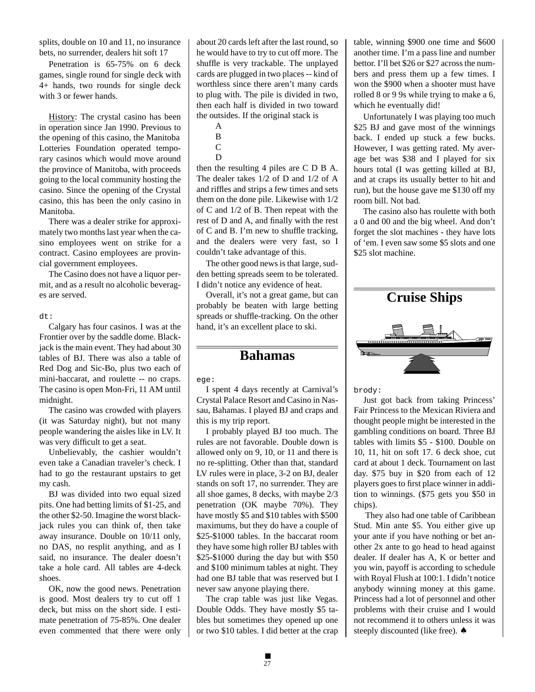splits, double on 10 and 11, no insurance bets, no surrender, dealers hit soft 17

Penetration is 65-75% on 6 deck games, single round for single deck with 4+ hands, two rounds for single deck with 3 or fewer hands.

History: The crystal casino has been in operation since Jan 1990. Previous to the opening of this casino, the Manitoba Lotteries Foundation operated temporary casinos which would move around the province of Manitoba, with proceeds going to the local community hosting the casino. Since the opening of the Crystal casino, this has been the only casino in Manitoba.

There was a dealer strike for approximately two months last year when the casino employees went on strike for a contract. Casino employees are provincial government employees.

The Casino does not have a liquor permit, and as a result no alcoholic beverages are served.

dt:

Calgary has four casinos. I was at the Frontier over by the saddle dome. Blackjack is the main event. They had about 30 tables of BJ. There was also a table of Red Dog and Sic-Bo, plus two each of mini-baccarat, and roulette -- no craps. The casino is open Mon-Fri, 11 AM until midnight.

The casino was crowded with players (it was Saturday night), but not many people wandering the aisles like in LV. It was very difficult to get a seat.

Unbelievably, the cashier wouldn't even take a Canadian traveler's check. I had to go the restaurant upstairs to get my cash.

BJ was divided into two equal sized pits. One had betting limits of \$1-25, and the other \$2-50. Imagine the worst blackjack rules you can think of, then take away insurance. Double on 10/11 only, no DAS, no resplit anything, and as I said, no insurance. The dealer doesn't take a hole card. All tables are 4-deck shoes.

OK, now the good news. Penetration is good. Most dealers try to cut off 1 deck, but miss on the short side. I estimate penetration of 75-85%. One dealer even commented that there were only about 20 cards left after the last round, so he would have to try to cut off more. The shuffle is very trackable. The unplayed cards are plugged in two places -- kind of worthless since there aren't many cards to plug with. The pile is divided in two, then each half is divided in two toward the outsides. If the original stack is

- A
- B
- C D

then the resulting 4 piles are C D B A. The dealer takes 1/2 of D and 1/2 of A and riffles and strips a few times and sets them on the done pile. Likewise with 1/2 of C and 1/2 of B. Then repeat with the rest of D and A, and finally with the rest of C and B. I'm new to shuffle tracking, and the dealers were very fast, so I couldn't take advantage of this.

The other good news is that large, sudden betting spreads seem to be tolerated. I didn't notice any evidence of heat.

Overall, it's not a great game, but can probably be beaten with large betting spreads or shuffle-tracking. On the other hand, it's an excellent place to ski.

## **Bahamas**

ege:

I spent 4 days recently at Carnival's Crystal Palace Resort and Casino in Nassau, Bahamas. I played BJ and craps and this is my trip report.

I probably played BJ too much. The rules are not favorable. Double down is allowed only on 9, 10, or 11 and there is no re-splitting. Other than that, standard LV rules were in place, 3-2 on BJ, dealer stands on soft 17, no surrender. They are all shoe games, 8 decks, with maybe 2/3 penetration (OK maybe 70%). They have mostly \$5 and \$10 tables with \$500 maximums, but they do have a couple of \$25-\$1000 tables. In the baccarat room they have some high roller BJ tables with \$25-\$1000 during the day but with \$50 and \$100 minimum tables at night. They had one BJ table that was reserved but I never saw anyone playing there.

The crap table was just like Vegas. Double Odds. They have mostly \$5 tables but sometimes they opened up one or two \$10 tables. I did better at the crap

table, winning \$900 one time and \$600 another time. I'm a pass line and number bettor. I'll bet \$26 or \$27 across the numbers and press them up a few times. I won the \$900 when a shooter must have rolled 8 or 9 9s while trying to make a 6, which he eventually did!

Unfortunately I was playing too much \$25 BJ and gave most of the winnings back. I ended up stuck a few bucks. However, I was getting rated. My average bet was \$38 and I played for six hours total (I was getting killed at BJ, and at craps its usually better to hit and run), but the house gave me \$130 off my room bill. Not bad.

The casino also has roulette with both a 0 and 00 and the big wheel. And don't forget the slot machines - they have lots of 'em. I even saw some \$5 slots and one \$25 slot machine.

![](_page_26_Picture_26.jpeg)

brody:

Just got back from taking Princess' Fair Princess to the Mexican Riviera and thought people might be interested in the gambling conditions on board. Three BJ tables with limits \$5 - \$100. Double on 10, 11, hit on soft 17. 6 deck shoe, cut card at about 1 deck. Tournament on last day. \$75 buy in \$20 from each of 12 players goes to first place winner in addition to winnings. (\$75 gets you \$50 in chips).

 They also had one table of Caribbean Stud. Min ante \$5. You either give up your ante if you have nothing or bet another 2x ante to go head to head against dealer. If dealer has A, K or better and you win, payoff is according to schedule with Royal Flush at 100:1. I didn't notice anybody winning money at this game. Princess had a lot of personnel and other problems with their cruise and I would not recommend it to others unless it was steeply discounted (like free). ♠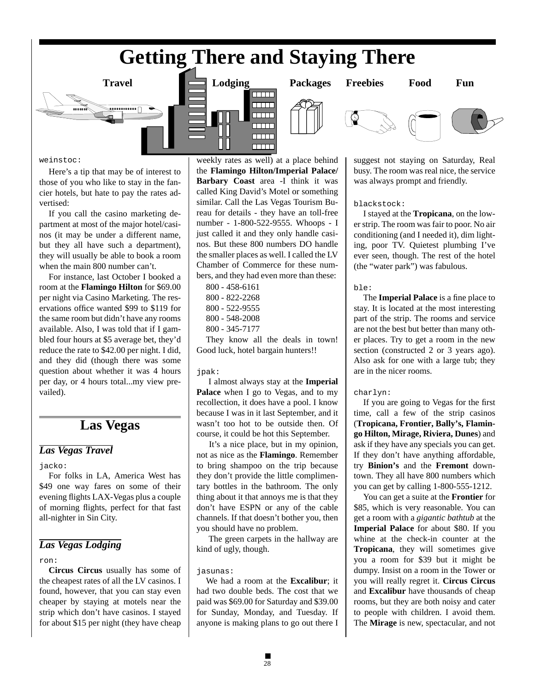# **Getting There and Staying There**

 $\Box$  $\overline{\text{min}}$ 

 $\overline{\text{min}}$  $\overline{\text{min}}$  $\Box$  $\Box$ 

![](_page_27_Picture_1.jpeg)

weinstoc:

Here's a tip that may be of interest to those of you who like to stay in the fancier hotels, but hate to pay the rates advertised:

If you call the casino marketing department at most of the major hotel/casinos (it may be under a different name, but they all have such a department), they will usually be able to book a room when the main 800 number can't.

For instance, last October I booked a room at the **Flamingo Hilton** for \$69.00 per night via Casino Marketing. The reservations office wanted \$99 to \$119 for the same room but didn't have any rooms available. Also, I was told that if I gambled four hours at \$5 average bet, they'd reduce the rate to \$42.00 per night. I did, and they did (though there was some question about whether it was 4 hours per day, or 4 hours total...my view prevailed).

## **Las Vegas**

## *Las Vegas Travel*

jacko:

For folks in LA, America West has \$49 one way fares on some of their evening flights LAX-Vegas plus a couple of morning flights, perfect for that fast all-nighter in Sin City.

## *Las Vegas Lodging*

#### ron:

**Circus Circus** usually has some of the cheapest rates of all the LV casinos. I found, however, that you can stay even cheaper by staying at motels near the strip which don't have casinos. I stayed for about \$15 per night (they have cheap

weekly rates as well) at a place behind the **Flamingo Hilton/Imperial Palace/ Barbary Coast** area -I think it was called King David's Motel or something similar. Call the Las Vegas Tourism Bureau for details - they have an toll-free number - 1-800-522-9555. Whoops - I just called it and they only handle casinos. But these 800 numbers DO handle the smaller places as well. I called the LV Chamber of Commerce for these numbers, and they had even more than these:

- 800 458-6161 800 - 822-2268 800 - 522-9555 800 - 548-2008
- 800 345-7177

They know all the deals in town! Good luck, hotel bargain hunters!!

#### jpak:

 I almost always stay at the **Imperial Palace** when I go to Vegas, and to my recollection, it does have a pool. I know because I was in it last September, and it wasn't too hot to be outside then. Of course, it could be hot this September.

 It's a nice place, but in my opinion, not as nice as the **Flamingo**. Remember to bring shampoo on the trip because they don't provide the little complimentary bottles in the bathroom. The only thing about it that annoys me is that they don't have ESPN or any of the cable channels. If that doesn't bother you, then you should have no problem.

 The green carpets in the hallway are kind of ugly, though.

#### jasunas:

We had a room at the **Excalibur**; it had two double beds. The cost that we paid was \$69.00 for Saturday and \$39.00 for Sunday, Monday, and Tuesday. If anyone is making plans to go out there I

![](_page_27_Picture_25.jpeg)

![](_page_27_Picture_27.jpeg)

suggest not staying on Saturday, Real busy. The room was real nice, the service was always prompt and friendly.

## blackstock:

I stayed at the **Tropicana**, on the lower strip. The room was fair to poor. No air conditioning (and I needed it), dim lighting, poor TV. Quietest plumbing I've ever seen, though. The rest of the hotel (the "water park") was fabulous.

#### ble:

The **Imperial Palace** is a fine place to stay. It is located at the most interesting part of the strip. The rooms and service are not the best but better than many other places. Try to get a room in the new section (constructed 2 or 3 years ago). Also ask for one with a large tub; they are in the nicer rooms.

## charlyn:

If you are going to Vegas for the first time, call a few of the strip casinos (**Tropicana, Frontier, Bally's, Flamingo Hilton, Mirage, Riviera, Dunes**) and ask if they have any specials you can get. If they don't have anything affordable, try **Binion's** and the **Fremont** downtown. They all have 800 numbers which you can get by calling 1-800-555-1212.

You can get a suite at the **Frontier** for \$85, which is very reasonable. You can get a room with a *gigantic bathtub* at the **Imperial Palace** for about \$80. If you whine at the check-in counter at the **Tropicana**, they will sometimes give you a room for \$39 but it might be dumpy. Insist on a room in the Tower or you will really regret it. **Circus Circus** and **Excalibur** have thousands of cheap rooms, but they are both noisy and cater to people with children. I avoid them. The **Mirage** is new, spectacular, and not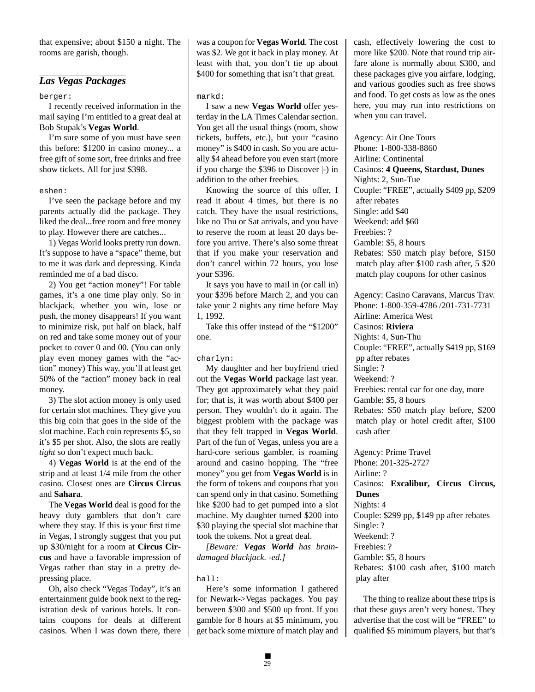that expensive; about \$150 a night. The rooms are garish, though.

## *Las Vegas Packages*

#### berger:

I recently received information in the mail saying I'm entitled to a great deal at Bob Stupak's **Vegas World**.

I'm sure some of you must have seen this before: \$1200 in casino money... a free gift of some sort, free drinks and free show tickets. All for just \$398.

#### eshen:

I've seen the package before and my parents actually did the package. They liked the deal...free room and free money to play. However there are catches...

1) Vegas World looks pretty run down. It's suppose to have a "space" theme, but to me it was dark and depressing. Kinda reminded me of a bad disco.

2) You get "action money"! For table games, it's a one time play only. So in blackjack, whether you win, lose or push, the money disappears! If you want to minimize risk, put half on black, half on red and take some money out of your pocket to cover 0 and 00. (You can only play even money games with the "action" money) This way, you'll at least get 50% of the "action" money back in real money.

3) The slot action money is only used for certain slot machines. They give you this big coin that goes in the side of the slot machine. Each coin represents \$5, so it's \$5 per shot. Also, the slots are really *tight* so don't expect much back.

4) **Vegas World** is at the end of the strip and at least 1/4 mile from the other casino. Closest ones are **Circus Circus** and **Sahara**.

The **Vegas World** deal is good for the heavy duty gamblers that don't care where they stay. If this is your first time in Vegas, I strongly suggest that you put up \$30/night for a room at **Circus Circus** and have a favorable impression of Vegas rather than stay in a pretty depressing place.

Oh, also check "Vegas Today", it's an entertainment guide book next to the registration desk of various hotels. It contains coupons for deals at different casinos. When I was down there, there

was a coupon for **Vegas World**. The cost was \$2. We got it back in play money. At least with that, you don't tie up about \$400 for something that isn't that great.

#### markd:

I saw a new **Vegas World** offer yesterday in the LA Times Calendar section. You get all the usual things (room, show tickets, buffets, etc.), but your "casino money" is \$400 in cash. So you are actually \$4 ahead before you even start (more if you charge the \$396 to Discover |-) in addition to the other freebies.

Knowing the source of this offer, I read it about 4 times, but there is no catch. They have the usual restrictions, like no Thu or Sat arrivals, and you have to reserve the room at least 20 days before you arrive. There's also some threat that if you make your reservation and don't cancel within 72 hours, you lose your \$396.

It says you have to mail in (or call in) your \$396 before March 2, and you can take your 2 nights any time before May 1, 1992.

Take this offer instead of the "\$1200" one.

#### charlyn:

My daughter and her boyfriend tried out the **Vegas World** package last year. They got approximately what they paid for; that is, it was worth about \$400 per person. They wouldn't do it again. The biggest problem with the package was that they felt trapped in **Vegas World**. Part of the fun of Vegas, unless you are a hard-core serious gambler, is roaming around and casino hopping. The "free money" you get from **Vegas World** is in the form of tokens and coupons that you can spend only in that casino. Something like \$200 had to get pumped into a slot machine. My daughter turned \$200 into \$30 playing the special slot machine that took the tokens. Not a great deal.

*[Beware: Vegas World has braindamaged blackjack. -ed.]*

#### hall:

Here's some information I gathered for Newark->Vegas packages. You pay between \$300 and \$500 up front. If you gamble for 8 hours at \$5 minimum, you get back some mixture of match play and cash, effectively lowering the cost to more like \$200. Note that round trip airfare alone is normally about \$300, and these packages give you airfare, lodging, and various goodies such as free shows and food. To get costs as low as the ones here, you may run into restrictions on when you can travel.

Agency: Air One Tours Phone: 1-800-338-8860 Airline: Continental Casinos: **4 Queens, Stardust, Dunes** Nights: 2, Sun-Tue Couple: "FREE", actually \$409 pp, \$209 after rebates Single: add \$40 Weekend: add \$60 Freebies: ? Gamble: \$5, 8 hours Rebates: \$50 match play before, \$150 match play after \$100 cash after, 5 \$20 match play coupons for other casinos

Agency: Casino Caravans, Marcus Trav. Phone: 1-800-359-4786 /201-731-7731 Airline: America West Casinos: **Riviera** Nights: 4, Sun-Thu Couple: "FREE", actually \$419 pp, \$169 pp after rebates Single: ? Weekend: ? Freebies: rental car for one day, more Gamble: \$5, 8 hours Rebates: \$50 match play before, \$200 match play or hotel credit after, \$100 cash after

Agency: Prime Travel Phone: 201-325-2727 Airline: ? Casinos: **Excalibur, Circus Circus, Dunes** Nights: 4 Couple: \$299 pp, \$149 pp after rebates Single: ? Weekend: ? Freebies: ? Gamble: \$5, 8 hours Rebates: \$100 cash after, \$100 match play after

The thing to realize about these trips is that these guys aren't very honest. They advertise that the cost will be "FREE" to qualified \$5 minimum players, but that's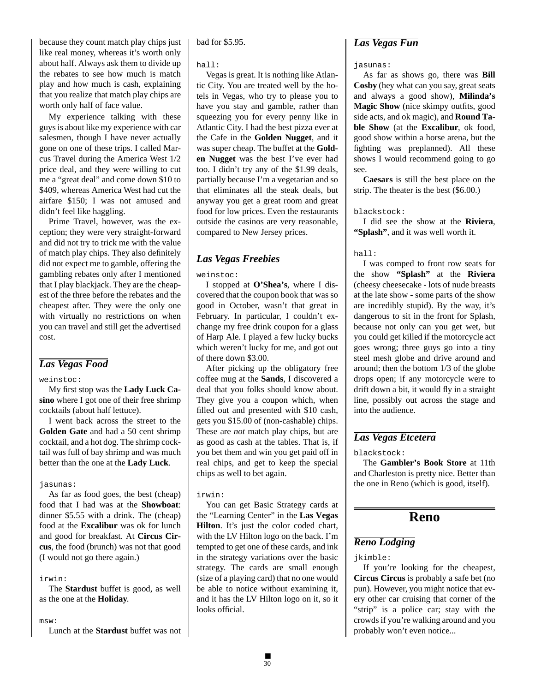because they count match play chips just like real money, whereas it's worth only about half. Always ask them to divide up the rebates to see how much is match play and how much is cash, explaining that you realize that match play chips are worth only half of face value.

My experience talking with these guys is about like my experience with car salesmen, though I have never actually gone on one of these trips. I called Marcus Travel during the America West 1/2 price deal, and they were willing to cut me a "great deal" and come down \$10 to \$409, whereas America West had cut the airfare \$150; I was not amused and didn't feel like haggling.

Prime Travel, however, was the exception; they were very straight-forward and did not try to trick me with the value of match play chips. They also definitely did not expect me to gamble, offering the gambling rebates only after I mentioned that I play blackjack. They are the cheapest of the three before the rebates and the cheapest after. They were the only one with virtually no restrictions on when you can travel and still get the advertised cost.

## *Las Vegas Food*

#### weinstoc:

My first stop was the **Lady Luck Casino** where I got one of their free shrimp cocktails (about half lettuce).

I went back across the street to the **Golden Gate** and had a 50 cent shrimp cocktail, and a hot dog. The shrimp cocktail was full of bay shrimp and was much better than the one at the **Lady Luck**.

## jasunas:

As far as food goes, the best (cheap) food that I had was at the **Showboat**: dinner \$5.55 with a drink. The (cheap) food at the **Excalibur** was ok for lunch and good for breakfast. At **Circus Circus**, the food (brunch) was not that good (I would not go there again.)

#### irwin:

The **Stardust** buffet is good, as well as the one at the **Holiday**.

#### msw:

Lunch at the **Stardust** buffet was not

bad for \$5.95.

#### hall:

Vegas is great. It is nothing like Atlantic City. You are treated well by the hotels in Vegas, who try to please you to have you stay and gamble, rather than squeezing you for every penny like in Atlantic City. I had the best pizza ever at the Cafe in the **Golden Nugget**, and it was super cheap. The buffet at the **Golden Nugget** was the best I've ever had too. I didn't try any of the \$1.99 deals, partially because I'm a vegetarian and so that eliminates all the steak deals, but anyway you get a great room and great food for low prices. Even the restaurants outside the casinos are very reasonable, compared to New Jersey prices.

## *Las Vegas Freebies*

weinstoc:

I stopped at **O'Shea's**, where I discovered that the coupon book that was so good in October, wasn't that great in February. In particular, I couldn't exchange my free drink coupon for a glass of Harp Ale. I played a few lucky bucks which weren't lucky for me, and got out of there down \$3.00.

After picking up the obligatory free coffee mug at the **Sands**, I discovered a deal that you folks should know about. They give you a coupon which, when filled out and presented with \$10 cash, gets you \$15.00 of (non-cashable) chips. These are *not* match play chips, but are as good as cash at the tables. That is, if you bet them and win you get paid off in real chips, and get to keep the special chips as well to bet again.

#### irwin:

You can get Basic Strategy cards at the "Learning Center" in the **Las Vegas Hilton**. It's just the color coded chart, with the LV Hilton logo on the back. I'm tempted to get one of these cards, and ink in the strategy variations over the basic strategy. The cards are small enough (size of a playing card) that no one would be able to notice without examining it, and it has the LV Hilton logo on it, so it looks official.

## *Las Vegas Fun*

#### jasunas:

As far as shows go, there was **Bill Cosby** (hey what can you say, great seats and always a good show), **Milinda's Magic Show** (nice skimpy outfits, good side acts, and ok magic), and **Round Table Show** (at the **Excalibur**, ok food, good show within a horse arena, but the fighting was preplanned). All these shows I would recommend going to go see.

**Caesars** is still the best place on the strip. The theater is the best (\$6.00.)

## blackstock:

I did see the show at the **Riviera**, **"Splash"**, and it was well worth it.

#### hall:

I was comped to front row seats for the show **"Splash"** at the **Riviera** (cheesy cheesecake - lots of nude breasts at the late show - some parts of the show are incredibly stupid). By the way, it's dangerous to sit in the front for Splash, because not only can you get wet, but you could get killed if the motorcycle act goes wrong; three guys go into a tiny steel mesh globe and drive around and around; then the bottom 1/3 of the globe drops open; if any motorcycle were to drift down a bit, it would fly in a straight line, possibly out across the stage and into the audience.

## *Las Vegas Etcetera*

blackstock:

The **Gambler's Book Store** at 11th and Charleston is pretty nice. Better than the one in Reno (which is good, itself).

## **Reno**

## *Reno Lodging*

#### jkimble:

If you're looking for the cheapest, **Circus Circus** is probably a safe bet (no pun). However, you might notice that every other car cruising that corner of the "strip" is a police car; stay with the crowds if you're walking around and you probably won't even notice...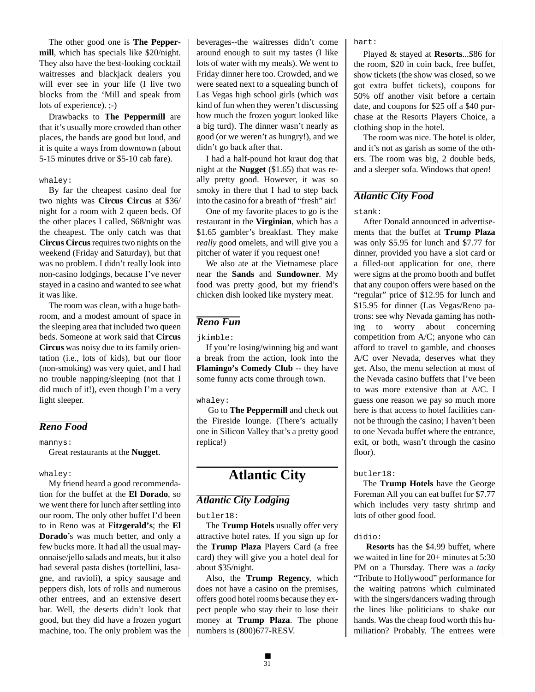The other good one is **The Peppermill**, which has specials like \$20/night. They also have the best-looking cocktail waitresses and blackjack dealers you will ever see in your life (I live two blocks from the 'Mill and speak from lots of experience). ;-)

Drawbacks to **The Peppermill** are that it's usually more crowded than other places, the bands are good but loud, and it is quite a ways from downtown (about 5-15 minutes drive or \$5-10 cab fare).

#### whaley:

By far the cheapest casino deal for two nights was **Circus Circus** at \$36/ night for a room with 2 queen beds. Of the other places I called, \$68/night was the cheapest. The only catch was that **Circus Circus** requires two nights on the weekend (Friday and Saturday), but that was no problem. I didn't really look into non-casino lodgings, because I've never stayed in a casino and wanted to see what it was like.

The room was clean, with a huge bathroom, and a modest amount of space in the sleeping area that included two queen beds. Someone at work said that **Circus Circus** was noisy due to its family orientation (i.e., lots of kids), but our floor (non-smoking) was very quiet, and I had no trouble napping/sleeping (not that I did much of it!), even though I'm a very light sleeper.

## *Reno Food*

mannys:

Great restaurants at the **Nugget**.

#### whaley:

My friend heard a good recommendation for the buffet at the **El Dorado**, so we went there for lunch after settling into our room. The only other buffet I'd been to in Reno was at **Fitzgerald's**; the **El Dorado**'s was much better, and only a few bucks more. It had all the usual mayonnaise/jello salads and meats, but it also had several pasta dishes (tortellini, lasagne, and ravioli), a spicy sausage and peppers dish, lots of rolls and numerous other entrees, and an extensive desert bar. Well, the deserts didn't look that good, but they did have a frozen yogurt machine, too. The only problem was the beverages--the waitresses didn't come around enough to suit my tastes (I like lots of water with my meals). We went to Friday dinner here too. Crowded, and we were seated next to a squealing bunch of Las Vegas high school girls (which *was* kind of fun when they weren't discussing how much the frozen yogurt looked like a big turd). The dinner wasn't nearly as good (or we weren't as hungry!), and we didn't go back after that.

I had a half-pound hot kraut dog that night at the **Nugget** (\$1.65) that was really pretty good. However, it was so smoky in there that I had to step back into the casino for a breath of "fresh" air!

One of my favorite places to go is the restaurant in the **Virginian**, which has a \$1.65 gambler's breakfast. They make *really* good omelets, and will give you a pitcher of water if you request one!

We also ate at the Vietnamese place near the **Sands** and **Sundowner**. My food was pretty good, but my friend's chicken dish looked like mystery meat.

## *Reno Fun*

jkimble:

If you're losing/winning big and want a break from the action, look into the **Flamingo's Comedy Club** -- they have some funny acts come through town.

whaley:

 Go to **The Peppermill** and check out the Fireside lounge. (There's actually one in Silicon Valley that's a pretty good replica!)

# **Atlantic City**

## *Atlantic City Lodging*

butler18:

The **Trump Hotels** usually offer very attractive hotel rates. If you sign up for the **Trump Plaza** Players Card (a free card) they will give you a hotel deal for about \$35/night.

Also, the **Trump Regency**, which does not have a casino on the premises, offers good hotel rooms because they expect people who stay their to lose their money at **Trump Plaza**. The phone numbers is (800)677-RESV.

hart:

Played & stayed at **Resorts**...\$86 for the room, \$20 in coin back, free buffet, show tickets (the show was closed, so we got extra buffet tickets), coupons for 50% off another visit before a certain date, and coupons for \$25 off a \$40 purchase at the Resorts Players Choice, a clothing shop in the hotel.

The room was nice. The hotel is older, and it's not as garish as some of the others. The room was big, 2 double beds, and a sleeper sofa. Windows that *open*!

## *Atlantic City Food*

#### stank:

After Donald announced in advertisements that the buffet at **Trump Plaza** was only \$5.95 for lunch and \$7.77 for dinner, provided you have a slot card or a filled-out application for one, there were signs at the promo booth and buffet that any coupon offers were based on the "regular" price of \$12.95 for lunch and \$15.95 for dinner (Las Vegas/Reno patrons: see why Nevada gaming has nothing to worry about concerning competition from A/C; anyone who can afford to travel to gamble, and chooses A/C over Nevada, deserves what they get. Also, the menu selection at most of the Nevada casino buffets that I've been to was more extensive than at A/C. I guess one reason we pay so much more here is that access to hotel facilities cannot be through the casino; I haven't been to one Nevada buffet where the entrance, exit, or both, wasn't through the casino floor).

#### butler18:

The **Trump Hotels** have the George Foreman All you can eat buffet for \$7.77 which includes very tasty shrimp and lots of other good food.

#### didio:

**Resorts** has the \$4.99 buffet, where we waited in line for 20+ minutes at 5:30 PM on a Thursday. There was a *tacky* "Tribute to Hollywood" performance for the waiting patrons which culminated with the singers/dancers wading through the lines like politicians to shake our hands. Was the cheap food worth this humiliation? Probably. The entrees were